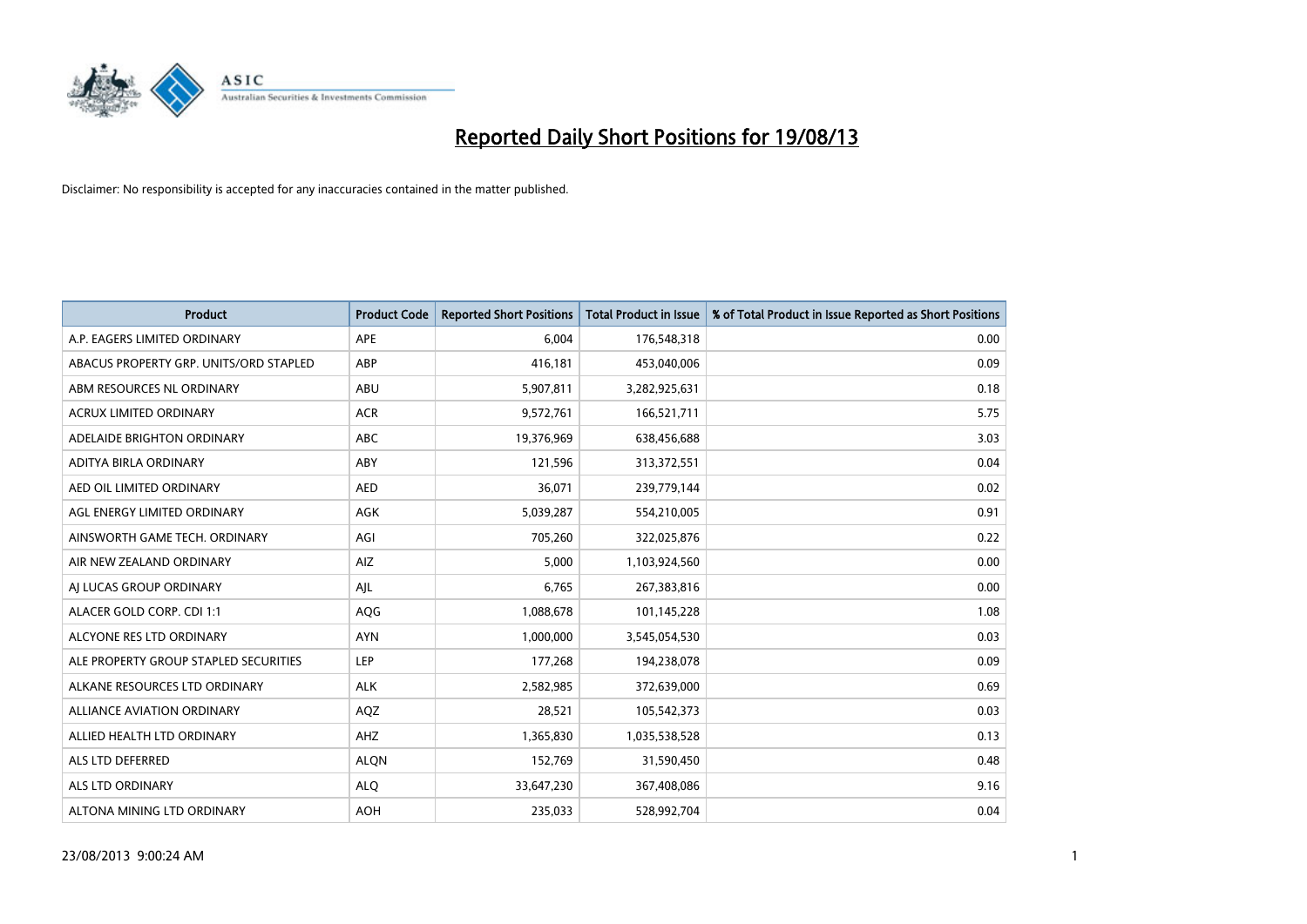

| <b>Product</b>                         | <b>Product Code</b> | <b>Reported Short Positions</b> | <b>Total Product in Issue</b> | % of Total Product in Issue Reported as Short Positions |
|----------------------------------------|---------------------|---------------------------------|-------------------------------|---------------------------------------------------------|
| A.P. EAGERS LIMITED ORDINARY           | APE                 | 6,004                           | 176,548,318                   | 0.00                                                    |
| ABACUS PROPERTY GRP. UNITS/ORD STAPLED | ABP                 | 416,181                         | 453,040,006                   | 0.09                                                    |
| ABM RESOURCES NL ORDINARY              | ABU                 | 5,907,811                       | 3,282,925,631                 | 0.18                                                    |
| ACRUX LIMITED ORDINARY                 | <b>ACR</b>          | 9,572,761                       | 166,521,711                   | 5.75                                                    |
| ADELAIDE BRIGHTON ORDINARY             | <b>ABC</b>          | 19,376,969                      | 638,456,688                   | 3.03                                                    |
| ADITYA BIRLA ORDINARY                  | ABY                 | 121,596                         | 313,372,551                   | 0.04                                                    |
| AED OIL LIMITED ORDINARY               | <b>AED</b>          | 36,071                          | 239,779,144                   | 0.02                                                    |
| AGL ENERGY LIMITED ORDINARY            | AGK                 | 5,039,287                       | 554,210,005                   | 0.91                                                    |
| AINSWORTH GAME TECH. ORDINARY          | AGI                 | 705,260                         | 322,025,876                   | 0.22                                                    |
| AIR NEW ZEALAND ORDINARY               | AIZ                 | 5,000                           | 1,103,924,560                 | 0.00                                                    |
| AJ LUCAS GROUP ORDINARY                | AJL                 | 6,765                           | 267,383,816                   | 0.00                                                    |
| ALACER GOLD CORP. CDI 1:1              | AQG                 | 1,088,678                       | 101,145,228                   | 1.08                                                    |
| ALCYONE RES LTD ORDINARY               | <b>AYN</b>          | 1,000,000                       | 3,545,054,530                 | 0.03                                                    |
| ALE PROPERTY GROUP STAPLED SECURITIES  | LEP                 | 177,268                         | 194,238,078                   | 0.09                                                    |
| ALKANE RESOURCES LTD ORDINARY          | ALK                 | 2,582,985                       | 372,639,000                   | 0.69                                                    |
| ALLIANCE AVIATION ORDINARY             | AQZ                 | 28,521                          | 105,542,373                   | 0.03                                                    |
| ALLIED HEALTH LTD ORDINARY             | AHZ                 | 1,365,830                       | 1,035,538,528                 | 0.13                                                    |
| ALS LTD DEFERRED                       | <b>ALQN</b>         | 152,769                         | 31,590,450                    | 0.48                                                    |
| ALS LTD ORDINARY                       | <b>ALQ</b>          | 33,647,230                      | 367,408,086                   | 9.16                                                    |
| ALTONA MINING LTD ORDINARY             | <b>AOH</b>          | 235,033                         | 528,992,704                   | 0.04                                                    |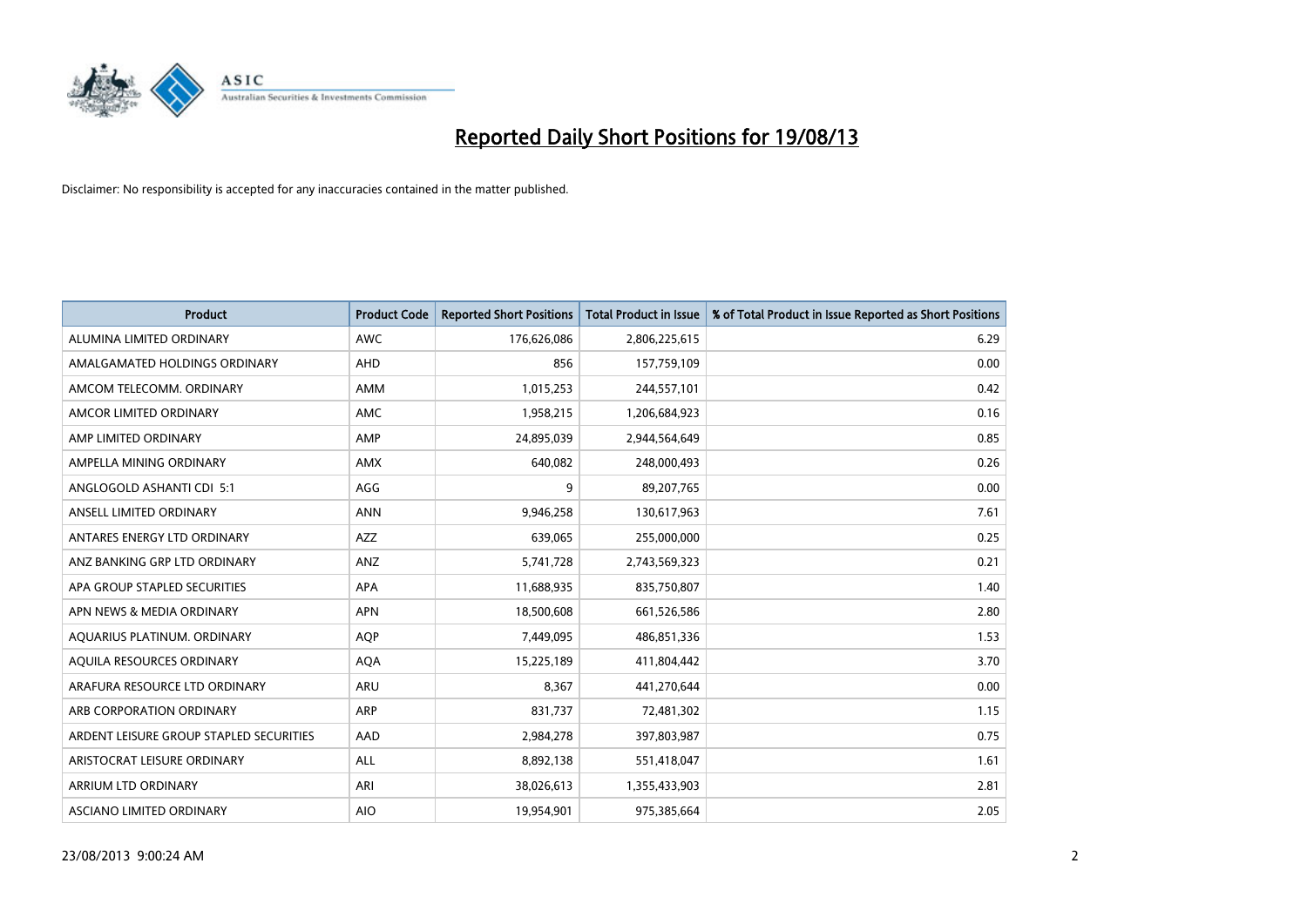

| <b>Product</b>                          | <b>Product Code</b> | <b>Reported Short Positions</b> | <b>Total Product in Issue</b> | % of Total Product in Issue Reported as Short Positions |
|-----------------------------------------|---------------------|---------------------------------|-------------------------------|---------------------------------------------------------|
| ALUMINA LIMITED ORDINARY                | <b>AWC</b>          | 176,626,086                     | 2,806,225,615                 | 6.29                                                    |
| AMALGAMATED HOLDINGS ORDINARY           | AHD                 | 856                             | 157,759,109                   | 0.00                                                    |
| AMCOM TELECOMM, ORDINARY                | AMM                 | 1,015,253                       | 244,557,101                   | 0.42                                                    |
| AMCOR LIMITED ORDINARY                  | AMC                 | 1,958,215                       | 1,206,684,923                 | 0.16                                                    |
| AMP LIMITED ORDINARY                    | AMP                 | 24,895,039                      | 2,944,564,649                 | 0.85                                                    |
| AMPELLA MINING ORDINARY                 | <b>AMX</b>          | 640,082                         | 248,000,493                   | 0.26                                                    |
| ANGLOGOLD ASHANTI CDI 5:1               | AGG                 | 9                               | 89,207,765                    | 0.00                                                    |
| ANSELL LIMITED ORDINARY                 | <b>ANN</b>          | 9,946,258                       | 130,617,963                   | 7.61                                                    |
| ANTARES ENERGY LTD ORDINARY             | <b>AZZ</b>          | 639,065                         | 255,000,000                   | 0.25                                                    |
| ANZ BANKING GRP LTD ORDINARY            | ANZ                 | 5,741,728                       | 2,743,569,323                 | 0.21                                                    |
| APA GROUP STAPLED SECURITIES            | APA                 | 11,688,935                      | 835,750,807                   | 1.40                                                    |
| APN NEWS & MEDIA ORDINARY               | <b>APN</b>          | 18,500,608                      | 661,526,586                   | 2.80                                                    |
| AQUARIUS PLATINUM. ORDINARY             | <b>AOP</b>          | 7,449,095                       | 486,851,336                   | 1.53                                                    |
| AQUILA RESOURCES ORDINARY               | <b>AQA</b>          | 15,225,189                      | 411,804,442                   | 3.70                                                    |
| ARAFURA RESOURCE LTD ORDINARY           | <b>ARU</b>          | 8,367                           | 441,270,644                   | 0.00                                                    |
| ARB CORPORATION ORDINARY                | ARP                 | 831,737                         | 72,481,302                    | 1.15                                                    |
| ARDENT LEISURE GROUP STAPLED SECURITIES | AAD                 | 2,984,278                       | 397,803,987                   | 0.75                                                    |
| ARISTOCRAT LEISURE ORDINARY             | ALL                 | 8,892,138                       | 551,418,047                   | 1.61                                                    |
| ARRIUM LTD ORDINARY                     | ARI                 | 38,026,613                      | 1,355,433,903                 | 2.81                                                    |
| ASCIANO LIMITED ORDINARY                | <b>AIO</b>          | 19,954,901                      | 975,385,664                   | 2.05                                                    |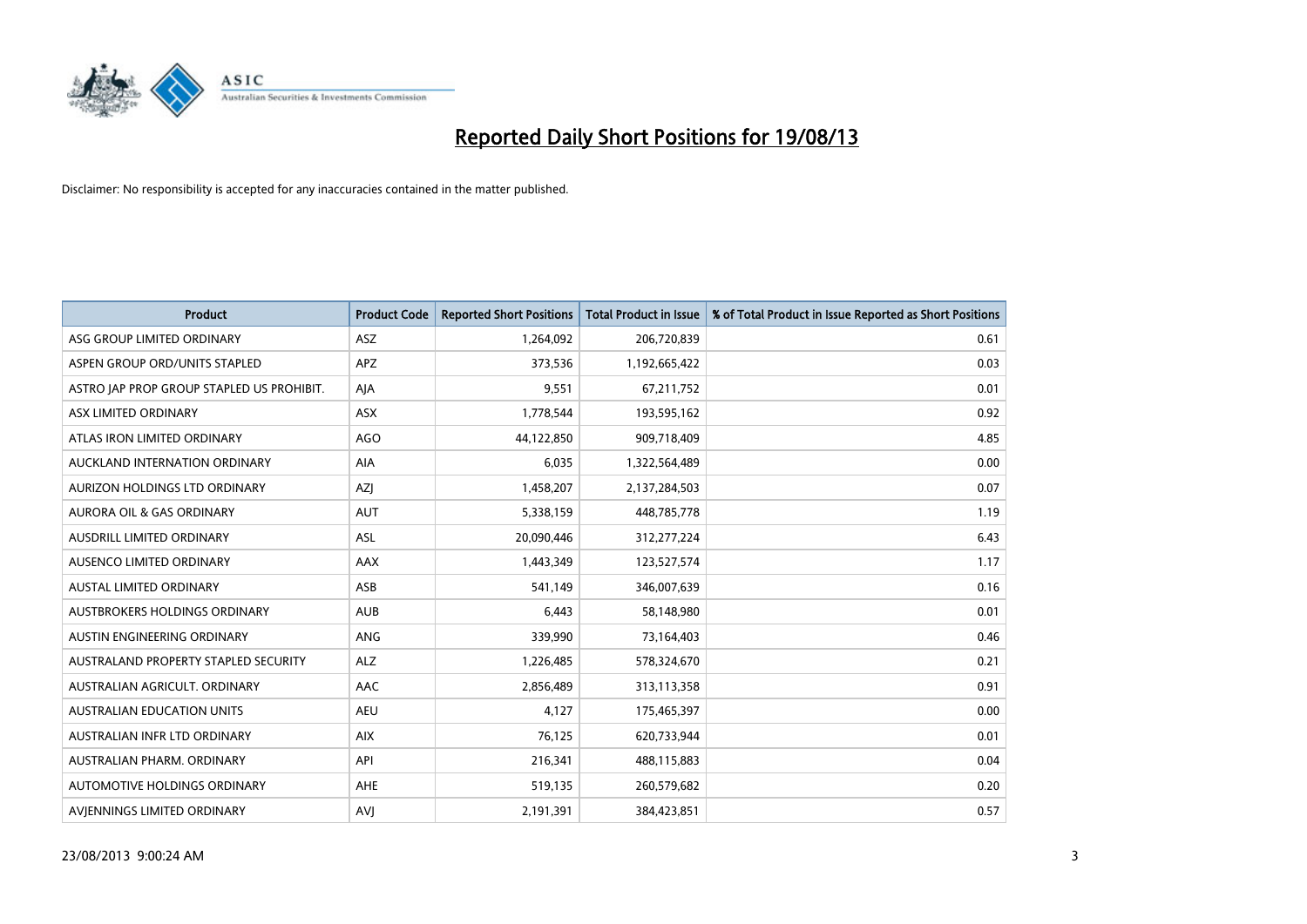

| <b>Product</b>                            | <b>Product Code</b> | <b>Reported Short Positions</b> | <b>Total Product in Issue</b> | % of Total Product in Issue Reported as Short Positions |
|-------------------------------------------|---------------------|---------------------------------|-------------------------------|---------------------------------------------------------|
| ASG GROUP LIMITED ORDINARY                | ASZ                 | 1,264,092                       | 206,720,839                   | 0.61                                                    |
| ASPEN GROUP ORD/UNITS STAPLED             | <b>APZ</b>          | 373,536                         | 1,192,665,422                 | 0.03                                                    |
| ASTRO JAP PROP GROUP STAPLED US PROHIBIT. | AJA                 | 9,551                           | 67,211,752                    | 0.01                                                    |
| ASX LIMITED ORDINARY                      | ASX                 | 1,778,544                       | 193,595,162                   | 0.92                                                    |
| ATLAS IRON LIMITED ORDINARY               | <b>AGO</b>          | 44,122,850                      | 909,718,409                   | 4.85                                                    |
| AUCKLAND INTERNATION ORDINARY             | AIA                 | 6,035                           | 1,322,564,489                 | 0.00                                                    |
| AURIZON HOLDINGS LTD ORDINARY             | AZJ                 | 1,458,207                       | 2,137,284,503                 | 0.07                                                    |
| AURORA OIL & GAS ORDINARY                 | AUT                 | 5,338,159                       | 448,785,778                   | 1.19                                                    |
| AUSDRILL LIMITED ORDINARY                 | <b>ASL</b>          | 20,090,446                      | 312,277,224                   | 6.43                                                    |
| AUSENCO LIMITED ORDINARY                  | <b>AAX</b>          | 1,443,349                       | 123,527,574                   | 1.17                                                    |
| AUSTAL LIMITED ORDINARY                   | ASB                 | 541,149                         | 346,007,639                   | 0.16                                                    |
| AUSTBROKERS HOLDINGS ORDINARY             | <b>AUB</b>          | 6,443                           | 58,148,980                    | 0.01                                                    |
| AUSTIN ENGINEERING ORDINARY               | <b>ANG</b>          | 339,990                         | 73,164,403                    | 0.46                                                    |
| AUSTRALAND PROPERTY STAPLED SECURITY      | <b>ALZ</b>          | 1,226,485                       | 578,324,670                   | 0.21                                                    |
| AUSTRALIAN AGRICULT, ORDINARY             | AAC                 | 2,856,489                       | 313,113,358                   | 0.91                                                    |
| AUSTRALIAN EDUCATION UNITS                | <b>AEU</b>          | 4,127                           | 175,465,397                   | 0.00                                                    |
| AUSTRALIAN INFR LTD ORDINARY              | <b>AIX</b>          | 76,125                          | 620,733,944                   | 0.01                                                    |
| AUSTRALIAN PHARM, ORDINARY                | API                 | 216,341                         | 488,115,883                   | 0.04                                                    |
| AUTOMOTIVE HOLDINGS ORDINARY              | <b>AHE</b>          | 519,135                         | 260,579,682                   | 0.20                                                    |
| AVJENNINGS LIMITED ORDINARY               | <b>AVJ</b>          | 2,191,391                       | 384,423,851                   | 0.57                                                    |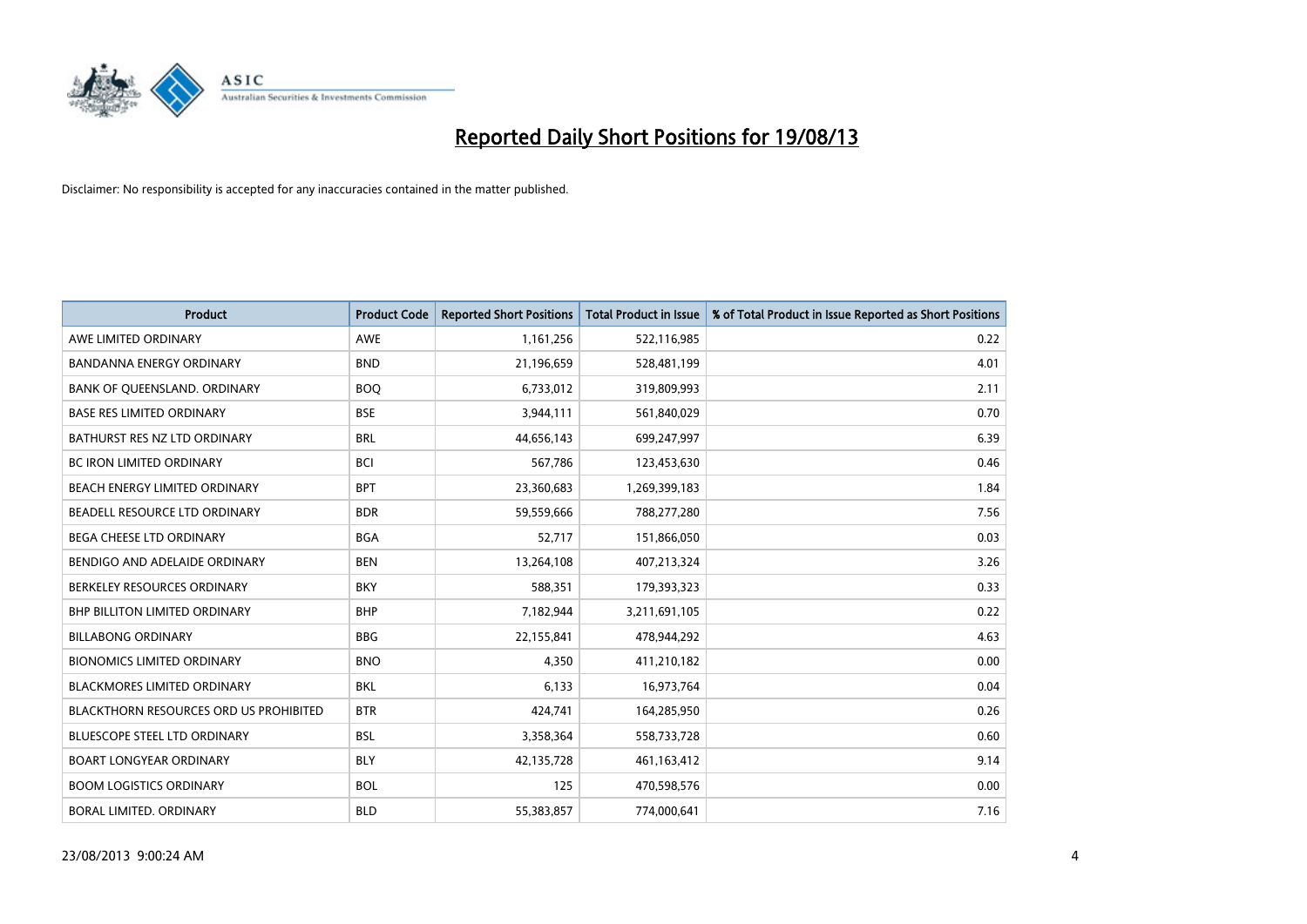

| <b>Product</b>                         | <b>Product Code</b> | <b>Reported Short Positions</b> | <b>Total Product in Issue</b> | % of Total Product in Issue Reported as Short Positions |
|----------------------------------------|---------------------|---------------------------------|-------------------------------|---------------------------------------------------------|
| AWE LIMITED ORDINARY                   | <b>AWE</b>          | 1,161,256                       | 522,116,985                   | 0.22                                                    |
| BANDANNA ENERGY ORDINARY               | <b>BND</b>          | 21,196,659                      | 528,481,199                   | 4.01                                                    |
| BANK OF QUEENSLAND. ORDINARY           | <b>BOQ</b>          | 6,733,012                       | 319,809,993                   | 2.11                                                    |
| <b>BASE RES LIMITED ORDINARY</b>       | <b>BSE</b>          | 3,944,111                       | 561,840,029                   | 0.70                                                    |
| BATHURST RES NZ LTD ORDINARY           | <b>BRL</b>          | 44,656,143                      | 699,247,997                   | 6.39                                                    |
| <b>BC IRON LIMITED ORDINARY</b>        | <b>BCI</b>          | 567,786                         | 123,453,630                   | 0.46                                                    |
| BEACH ENERGY LIMITED ORDINARY          | <b>BPT</b>          | 23,360,683                      | 1,269,399,183                 | 1.84                                                    |
| BEADELL RESOURCE LTD ORDINARY          | <b>BDR</b>          | 59,559,666                      | 788,277,280                   | 7.56                                                    |
| <b>BEGA CHEESE LTD ORDINARY</b>        | <b>BGA</b>          | 52,717                          | 151,866,050                   | 0.03                                                    |
| BENDIGO AND ADELAIDE ORDINARY          | <b>BEN</b>          | 13,264,108                      | 407,213,324                   | 3.26                                                    |
| BERKELEY RESOURCES ORDINARY            | <b>BKY</b>          | 588,351                         | 179,393,323                   | 0.33                                                    |
| BHP BILLITON LIMITED ORDINARY          | <b>BHP</b>          | 7,182,944                       | 3,211,691,105                 | 0.22                                                    |
| <b>BILLABONG ORDINARY</b>              | <b>BBG</b>          | 22,155,841                      | 478,944,292                   | 4.63                                                    |
| <b>BIONOMICS LIMITED ORDINARY</b>      | <b>BNO</b>          | 4,350                           | 411,210,182                   | 0.00                                                    |
| <b>BLACKMORES LIMITED ORDINARY</b>     | <b>BKL</b>          | 6,133                           | 16,973,764                    | 0.04                                                    |
| BLACKTHORN RESOURCES ORD US PROHIBITED | <b>BTR</b>          | 424,741                         | 164,285,950                   | 0.26                                                    |
| BLUESCOPE STEEL LTD ORDINARY           | <b>BSL</b>          | 3,358,364                       | 558,733,728                   | 0.60                                                    |
| <b>BOART LONGYEAR ORDINARY</b>         | <b>BLY</b>          | 42,135,728                      | 461,163,412                   | 9.14                                                    |
| <b>BOOM LOGISTICS ORDINARY</b>         | <b>BOL</b>          | 125                             | 470,598,576                   | 0.00                                                    |
| BORAL LIMITED, ORDINARY                | <b>BLD</b>          | 55,383,857                      | 774,000,641                   | 7.16                                                    |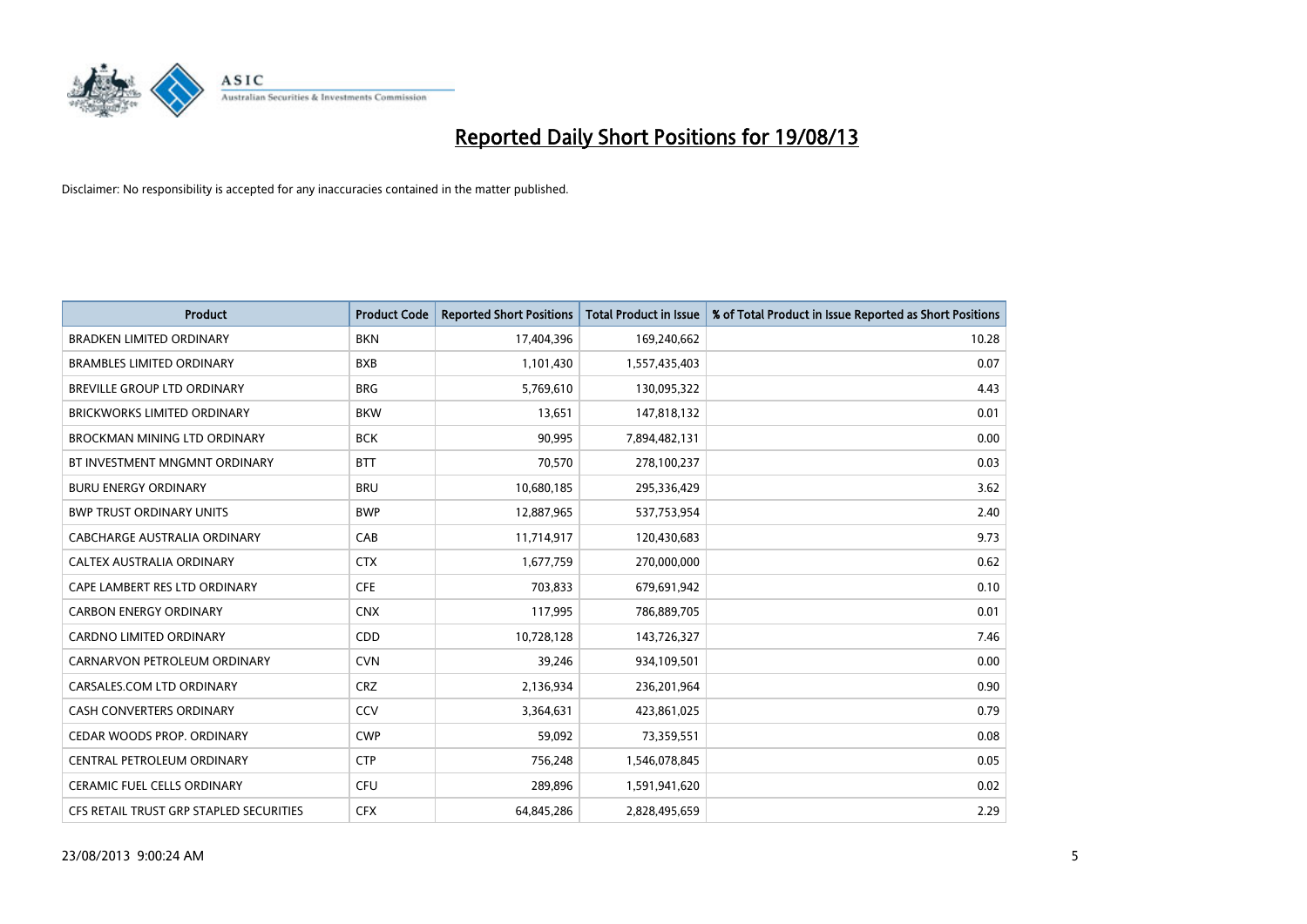

| <b>Product</b>                          | <b>Product Code</b> | <b>Reported Short Positions</b> | <b>Total Product in Issue</b> | % of Total Product in Issue Reported as Short Positions |
|-----------------------------------------|---------------------|---------------------------------|-------------------------------|---------------------------------------------------------|
| <b>BRADKEN LIMITED ORDINARY</b>         | <b>BKN</b>          | 17,404,396                      | 169,240,662                   | 10.28                                                   |
| <b>BRAMBLES LIMITED ORDINARY</b>        | <b>BXB</b>          | 1,101,430                       | 1,557,435,403                 | 0.07                                                    |
| BREVILLE GROUP LTD ORDINARY             | <b>BRG</b>          | 5,769,610                       | 130,095,322                   | 4.43                                                    |
| <b>BRICKWORKS LIMITED ORDINARY</b>      | <b>BKW</b>          | 13,651                          | 147,818,132                   | 0.01                                                    |
| BROCKMAN MINING LTD ORDINARY            | <b>BCK</b>          | 90,995                          | 7,894,482,131                 | 0.00                                                    |
| BT INVESTMENT MNGMNT ORDINARY           | <b>BTT</b>          | 70,570                          | 278,100,237                   | 0.03                                                    |
| <b>BURU ENERGY ORDINARY</b>             | <b>BRU</b>          | 10,680,185                      | 295,336,429                   | 3.62                                                    |
| <b>BWP TRUST ORDINARY UNITS</b>         | <b>BWP</b>          | 12,887,965                      | 537,753,954                   | 2.40                                                    |
| CABCHARGE AUSTRALIA ORDINARY            | CAB                 | 11,714,917                      | 120,430,683                   | 9.73                                                    |
| CALTEX AUSTRALIA ORDINARY               | <b>CTX</b>          | 1,677,759                       | 270,000,000                   | 0.62                                                    |
| CAPE LAMBERT RES LTD ORDINARY           | <b>CFE</b>          | 703,833                         | 679,691,942                   | 0.10                                                    |
| <b>CARBON ENERGY ORDINARY</b>           | <b>CNX</b>          | 117,995                         | 786,889,705                   | 0.01                                                    |
| <b>CARDNO LIMITED ORDINARY</b>          | CDD                 | 10,728,128                      | 143,726,327                   | 7.46                                                    |
| CARNARVON PETROLEUM ORDINARY            | <b>CVN</b>          | 39,246                          | 934,109,501                   | 0.00                                                    |
| CARSALES.COM LTD ORDINARY               | <b>CRZ</b>          | 2,136,934                       | 236,201,964                   | 0.90                                                    |
| CASH CONVERTERS ORDINARY                | CCV                 | 3,364,631                       | 423,861,025                   | 0.79                                                    |
| CEDAR WOODS PROP. ORDINARY              | <b>CWP</b>          | 59,092                          | 73,359,551                    | 0.08                                                    |
| CENTRAL PETROLEUM ORDINARY              | <b>CTP</b>          | 756,248                         | 1,546,078,845                 | 0.05                                                    |
| <b>CERAMIC FUEL CELLS ORDINARY</b>      | <b>CFU</b>          | 289,896                         | 1,591,941,620                 | 0.02                                                    |
| CFS RETAIL TRUST GRP STAPLED SECURITIES | <b>CFX</b>          | 64,845,286                      | 2,828,495,659                 | 2.29                                                    |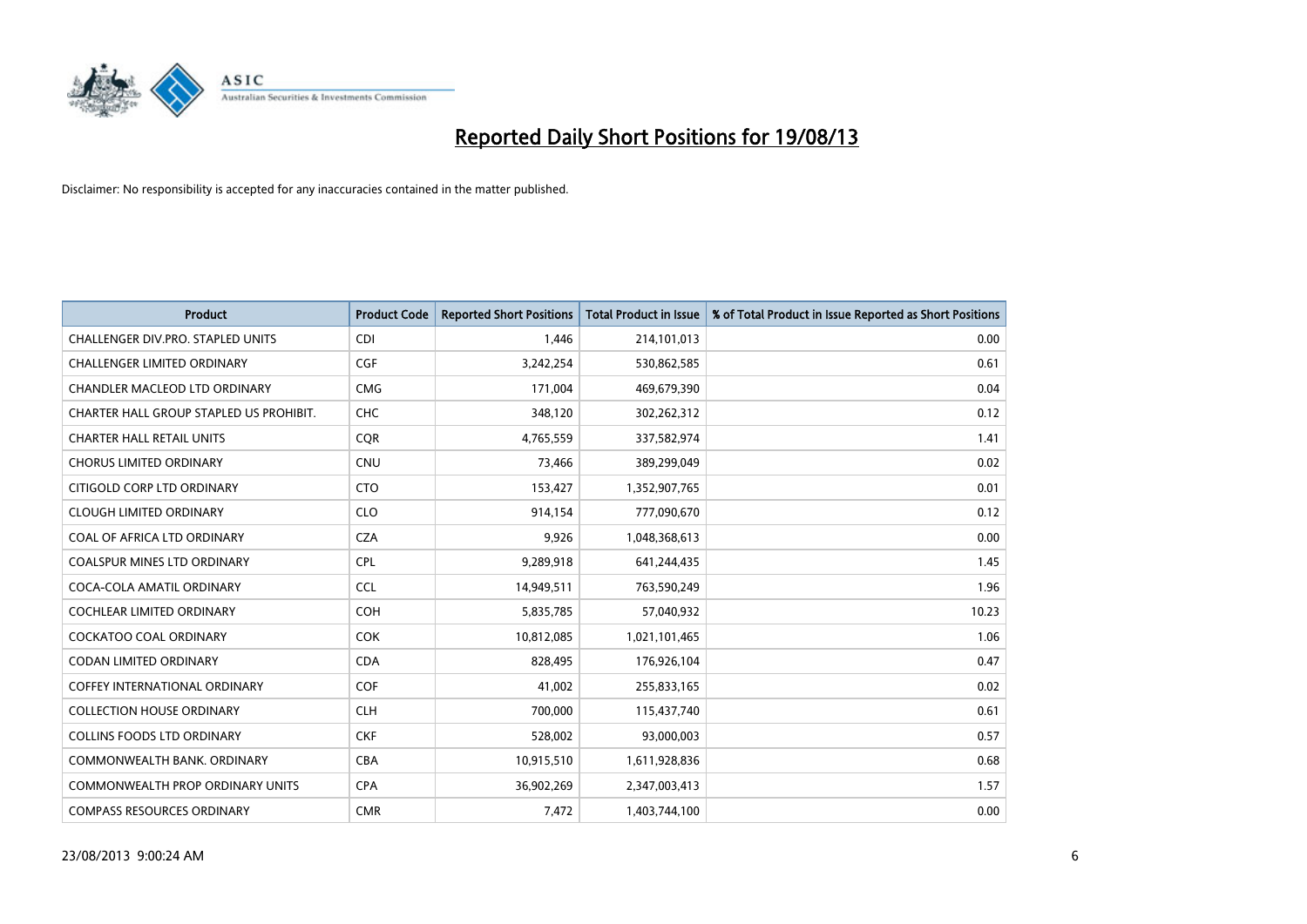

| <b>Product</b>                          | <b>Product Code</b> | <b>Reported Short Positions</b> | <b>Total Product in Issue</b> | % of Total Product in Issue Reported as Short Positions |
|-----------------------------------------|---------------------|---------------------------------|-------------------------------|---------------------------------------------------------|
| CHALLENGER DIV.PRO. STAPLED UNITS       | <b>CDI</b>          | 1,446                           | 214,101,013                   | 0.00                                                    |
| CHALLENGER LIMITED ORDINARY             | <b>CGF</b>          | 3,242,254                       | 530,862,585                   | 0.61                                                    |
| <b>CHANDLER MACLEOD LTD ORDINARY</b>    | <b>CMG</b>          | 171,004                         | 469,679,390                   | 0.04                                                    |
| CHARTER HALL GROUP STAPLED US PROHIBIT. | <b>CHC</b>          | 348,120                         | 302,262,312                   | 0.12                                                    |
| <b>CHARTER HALL RETAIL UNITS</b>        | <b>COR</b>          | 4,765,559                       | 337,582,974                   | 1.41                                                    |
| <b>CHORUS LIMITED ORDINARY</b>          | <b>CNU</b>          | 73,466                          | 389,299,049                   | 0.02                                                    |
| CITIGOLD CORP LTD ORDINARY              | <b>CTO</b>          | 153,427                         | 1,352,907,765                 | 0.01                                                    |
| <b>CLOUGH LIMITED ORDINARY</b>          | <b>CLO</b>          | 914,154                         | 777,090,670                   | 0.12                                                    |
| COAL OF AFRICA LTD ORDINARY             | <b>CZA</b>          | 9,926                           | 1,048,368,613                 | 0.00                                                    |
| <b>COALSPUR MINES LTD ORDINARY</b>      | <b>CPL</b>          | 9,289,918                       | 641,244,435                   | 1.45                                                    |
| COCA-COLA AMATIL ORDINARY               | <b>CCL</b>          | 14,949,511                      | 763,590,249                   | 1.96                                                    |
| <b>COCHLEAR LIMITED ORDINARY</b>        | <b>COH</b>          | 5,835,785                       | 57,040,932                    | 10.23                                                   |
| COCKATOO COAL ORDINARY                  | <b>COK</b>          | 10,812,085                      | 1,021,101,465                 | 1.06                                                    |
| <b>CODAN LIMITED ORDINARY</b>           | <b>CDA</b>          | 828,495                         | 176,926,104                   | 0.47                                                    |
| <b>COFFEY INTERNATIONAL ORDINARY</b>    | <b>COF</b>          | 41,002                          | 255,833,165                   | 0.02                                                    |
| <b>COLLECTION HOUSE ORDINARY</b>        | <b>CLH</b>          | 700,000                         | 115,437,740                   | 0.61                                                    |
| <b>COLLINS FOODS LTD ORDINARY</b>       | <b>CKF</b>          | 528,002                         | 93,000,003                    | 0.57                                                    |
| COMMONWEALTH BANK, ORDINARY             | <b>CBA</b>          | 10,915,510                      | 1,611,928,836                 | 0.68                                                    |
| <b>COMMONWEALTH PROP ORDINARY UNITS</b> | <b>CPA</b>          | 36,902,269                      | 2,347,003,413                 | 1.57                                                    |
| <b>COMPASS RESOURCES ORDINARY</b>       | <b>CMR</b>          | 7,472                           | 1,403,744,100                 | 0.00                                                    |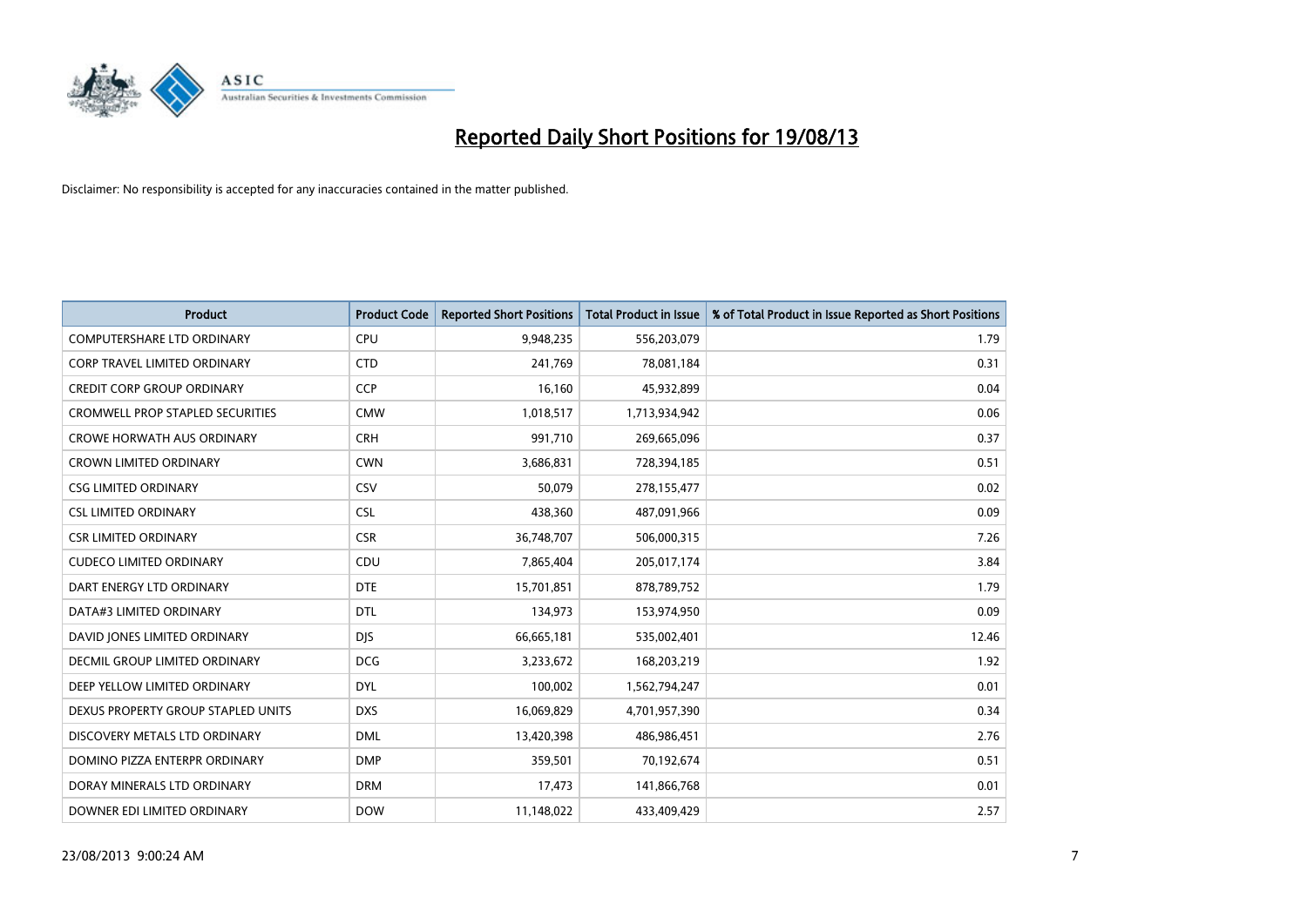

| <b>Product</b>                          | <b>Product Code</b> | <b>Reported Short Positions</b> | <b>Total Product in Issue</b> | % of Total Product in Issue Reported as Short Positions |
|-----------------------------------------|---------------------|---------------------------------|-------------------------------|---------------------------------------------------------|
| <b>COMPUTERSHARE LTD ORDINARY</b>       | <b>CPU</b>          | 9,948,235                       | 556,203,079                   | 1.79                                                    |
| <b>CORP TRAVEL LIMITED ORDINARY</b>     | <b>CTD</b>          | 241,769                         | 78,081,184                    | 0.31                                                    |
| <b>CREDIT CORP GROUP ORDINARY</b>       | <b>CCP</b>          | 16,160                          | 45,932,899                    | 0.04                                                    |
| <b>CROMWELL PROP STAPLED SECURITIES</b> | <b>CMW</b>          | 1,018,517                       | 1,713,934,942                 | 0.06                                                    |
| <b>CROWE HORWATH AUS ORDINARY</b>       | <b>CRH</b>          | 991,710                         | 269,665,096                   | 0.37                                                    |
| <b>CROWN LIMITED ORDINARY</b>           | <b>CWN</b>          | 3,686,831                       | 728,394,185                   | 0.51                                                    |
| <b>CSG LIMITED ORDINARY</b>             | CSV                 | 50.079                          | 278,155,477                   | 0.02                                                    |
| <b>CSL LIMITED ORDINARY</b>             | <b>CSL</b>          | 438,360                         | 487,091,966                   | 0.09                                                    |
| <b>CSR LIMITED ORDINARY</b>             | <b>CSR</b>          | 36,748,707                      | 506,000,315                   | 7.26                                                    |
| <b>CUDECO LIMITED ORDINARY</b>          | CDU                 | 7,865,404                       | 205,017,174                   | 3.84                                                    |
| DART ENERGY LTD ORDINARY                | <b>DTE</b>          | 15,701,851                      | 878,789,752                   | 1.79                                                    |
| DATA#3 LIMITED ORDINARY                 | <b>DTL</b>          | 134,973                         | 153,974,950                   | 0.09                                                    |
| DAVID JONES LIMITED ORDINARY            | <b>DJS</b>          | 66,665,181                      | 535,002,401                   | 12.46                                                   |
| DECMIL GROUP LIMITED ORDINARY           | <b>DCG</b>          | 3,233,672                       | 168,203,219                   | 1.92                                                    |
| DEEP YELLOW LIMITED ORDINARY            | <b>DYL</b>          | 100,002                         | 1,562,794,247                 | 0.01                                                    |
| DEXUS PROPERTY GROUP STAPLED UNITS      | <b>DXS</b>          | 16,069,829                      | 4,701,957,390                 | 0.34                                                    |
| DISCOVERY METALS LTD ORDINARY           | <b>DML</b>          | 13,420,398                      | 486,986,451                   | 2.76                                                    |
| DOMINO PIZZA ENTERPR ORDINARY           | <b>DMP</b>          | 359,501                         | 70,192,674                    | 0.51                                                    |
| DORAY MINERALS LTD ORDINARY             | <b>DRM</b>          | 17,473                          | 141,866,768                   | 0.01                                                    |
| DOWNER EDI LIMITED ORDINARY             | <b>DOW</b>          | 11,148,022                      | 433,409,429                   | 2.57                                                    |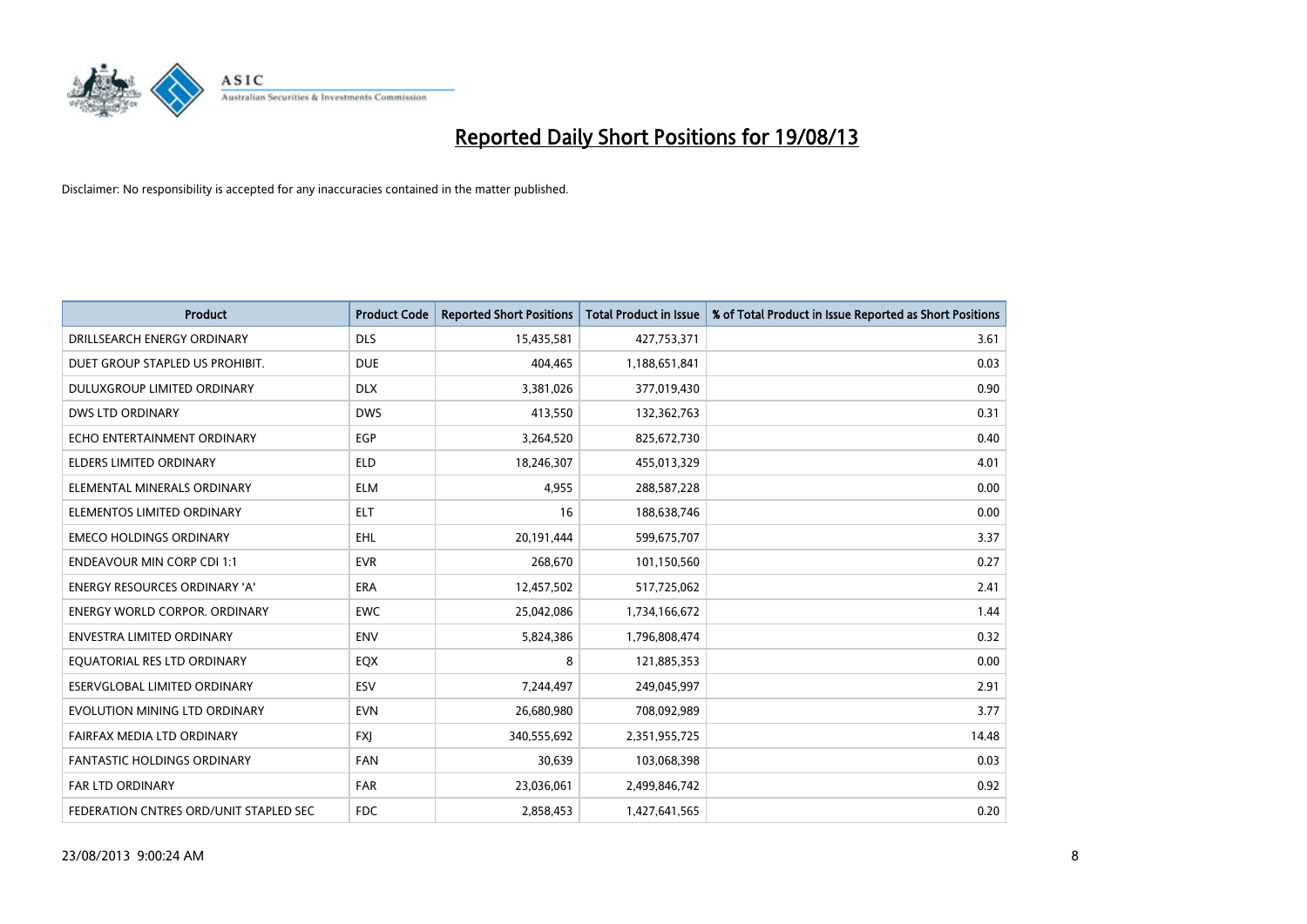

| <b>Product</b>                         | <b>Product Code</b> | <b>Reported Short Positions</b> | <b>Total Product in Issue</b> | % of Total Product in Issue Reported as Short Positions |
|----------------------------------------|---------------------|---------------------------------|-------------------------------|---------------------------------------------------------|
| DRILLSEARCH ENERGY ORDINARY            | <b>DLS</b>          | 15,435,581                      | 427,753,371                   | 3.61                                                    |
| DUET GROUP STAPLED US PROHIBIT.        | <b>DUE</b>          | 404,465                         | 1,188,651,841                 | 0.03                                                    |
| <b>DULUXGROUP LIMITED ORDINARY</b>     | <b>DLX</b>          | 3,381,026                       | 377,019,430                   | 0.90                                                    |
| <b>DWS LTD ORDINARY</b>                | <b>DWS</b>          | 413,550                         | 132,362,763                   | 0.31                                                    |
| ECHO ENTERTAINMENT ORDINARY            | <b>EGP</b>          | 3,264,520                       | 825,672,730                   | 0.40                                                    |
| <b>ELDERS LIMITED ORDINARY</b>         | <b>ELD</b>          | 18,246,307                      | 455,013,329                   | 4.01                                                    |
| ELEMENTAL MINERALS ORDINARY            | <b>ELM</b>          | 4,955                           | 288,587,228                   | 0.00                                                    |
| ELEMENTOS LIMITED ORDINARY             | <b>ELT</b>          | 16                              | 188,638,746                   | 0.00                                                    |
| <b>EMECO HOLDINGS ORDINARY</b>         | <b>EHL</b>          | 20,191,444                      | 599,675,707                   | 3.37                                                    |
| <b>ENDEAVOUR MIN CORP CDI 1:1</b>      | <b>EVR</b>          | 268,670                         | 101,150,560                   | 0.27                                                    |
| <b>ENERGY RESOURCES ORDINARY 'A'</b>   | <b>ERA</b>          | 12,457,502                      | 517,725,062                   | 2.41                                                    |
| <b>ENERGY WORLD CORPOR, ORDINARY</b>   | <b>EWC</b>          | 25,042,086                      | 1,734,166,672                 | 1.44                                                    |
| <b>ENVESTRA LIMITED ORDINARY</b>       | <b>ENV</b>          | 5,824,386                       | 1,796,808,474                 | 0.32                                                    |
| EQUATORIAL RES LTD ORDINARY            | EQX                 | 8                               | 121,885,353                   | 0.00                                                    |
| ESERVGLOBAL LIMITED ORDINARY           | ESV                 | 7,244,497                       | 249,045,997                   | 2.91                                                    |
| EVOLUTION MINING LTD ORDINARY          | <b>EVN</b>          | 26,680,980                      | 708,092,989                   | 3.77                                                    |
| FAIRFAX MEDIA LTD ORDINARY             | <b>FXJ</b>          | 340,555,692                     | 2,351,955,725                 | 14.48                                                   |
| FANTASTIC HOLDINGS ORDINARY            | <b>FAN</b>          | 30,639                          | 103,068,398                   | 0.03                                                    |
| <b>FAR LTD ORDINARY</b>                | <b>FAR</b>          | 23,036,061                      | 2,499,846,742                 | 0.92                                                    |
| FEDERATION CNTRES ORD/UNIT STAPLED SEC | <b>FDC</b>          | 2,858,453                       | 1,427,641,565                 | 0.20                                                    |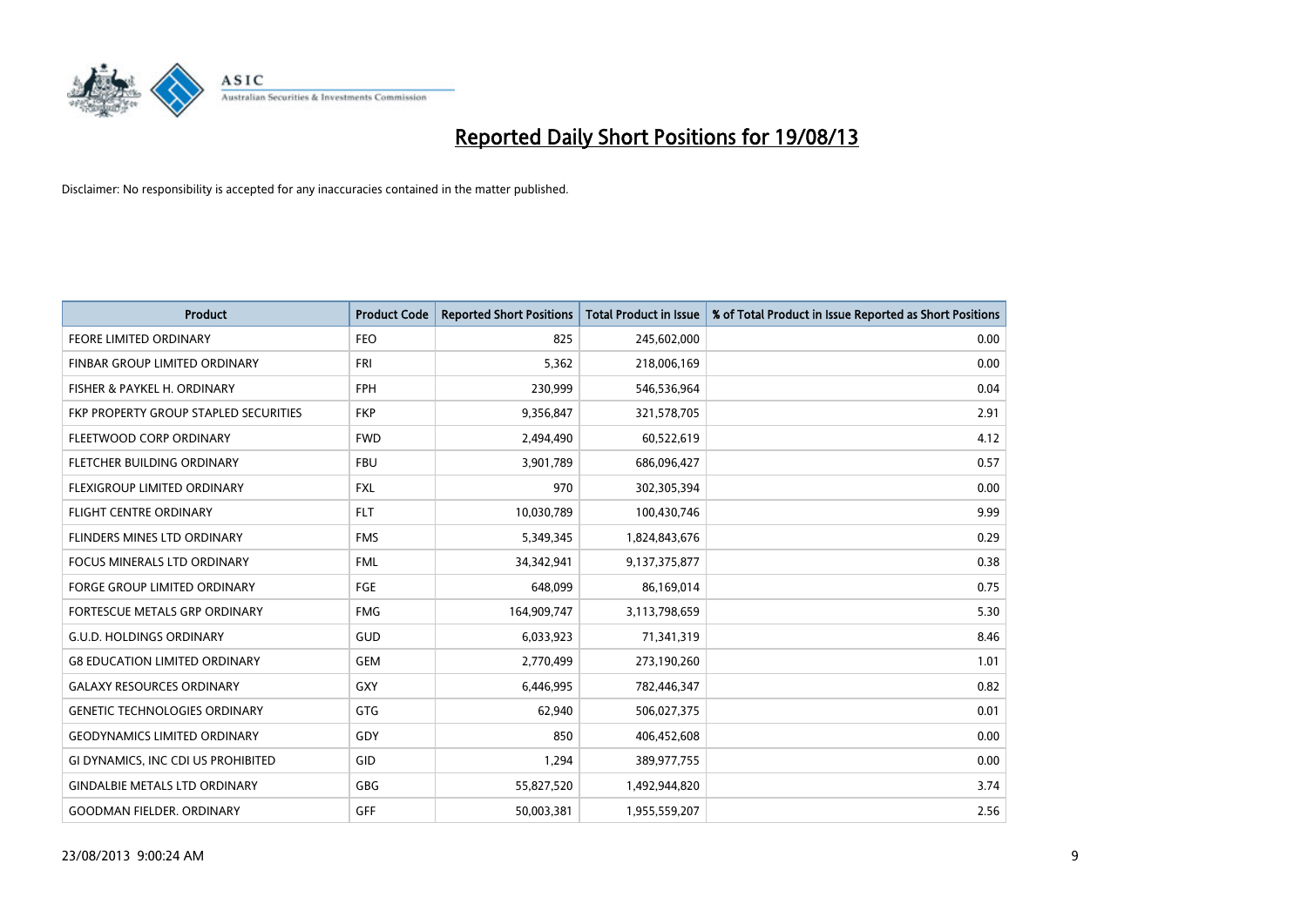

| <b>Product</b>                        | <b>Product Code</b> | <b>Reported Short Positions</b> | <b>Total Product in Issue</b> | % of Total Product in Issue Reported as Short Positions |
|---------------------------------------|---------------------|---------------------------------|-------------------------------|---------------------------------------------------------|
| <b>FEORE LIMITED ORDINARY</b>         | <b>FEO</b>          | 825                             | 245,602,000                   | 0.00                                                    |
| FINBAR GROUP LIMITED ORDINARY         | <b>FRI</b>          | 5,362                           | 218,006,169                   | 0.00                                                    |
| FISHER & PAYKEL H. ORDINARY           | <b>FPH</b>          | 230,999                         | 546,536,964                   | 0.04                                                    |
| FKP PROPERTY GROUP STAPLED SECURITIES | <b>FKP</b>          | 9,356,847                       | 321,578,705                   | 2.91                                                    |
| FLEETWOOD CORP ORDINARY               | <b>FWD</b>          | 2,494,490                       | 60,522,619                    | 4.12                                                    |
| FLETCHER BUILDING ORDINARY            | <b>FBU</b>          | 3,901,789                       | 686,096,427                   | 0.57                                                    |
| FLEXIGROUP LIMITED ORDINARY           | FXL                 | 970                             | 302,305,394                   | 0.00                                                    |
| FLIGHT CENTRE ORDINARY                | <b>FLT</b>          | 10,030,789                      | 100,430,746                   | 9.99                                                    |
| FLINDERS MINES LTD ORDINARY           | <b>FMS</b>          | 5,349,345                       | 1,824,843,676                 | 0.29                                                    |
| <b>FOCUS MINERALS LTD ORDINARY</b>    | <b>FML</b>          | 34,342,941                      | 9,137,375,877                 | 0.38                                                    |
| FORGE GROUP LIMITED ORDINARY          | FGE                 | 648,099                         | 86,169,014                    | 0.75                                                    |
| FORTESCUE METALS GRP ORDINARY         | <b>FMG</b>          | 164,909,747                     | 3,113,798,659                 | 5.30                                                    |
| <b>G.U.D. HOLDINGS ORDINARY</b>       | GUD                 | 6,033,923                       | 71,341,319                    | 8.46                                                    |
| <b>G8 EDUCATION LIMITED ORDINARY</b>  | <b>GEM</b>          | 2,770,499                       | 273,190,260                   | 1.01                                                    |
| <b>GALAXY RESOURCES ORDINARY</b>      | GXY                 | 6,446,995                       | 782,446,347                   | 0.82                                                    |
| <b>GENETIC TECHNOLOGIES ORDINARY</b>  | GTG                 | 62,940                          | 506,027,375                   | 0.01                                                    |
| <b>GEODYNAMICS LIMITED ORDINARY</b>   | GDY                 | 850                             | 406,452,608                   | 0.00                                                    |
| GI DYNAMICS, INC CDI US PROHIBITED    | GID                 | 1,294                           | 389,977,755                   | 0.00                                                    |
| <b>GINDALBIE METALS LTD ORDINARY</b>  | GBG                 | 55,827,520                      | 1,492,944,820                 | 3.74                                                    |
| <b>GOODMAN FIELDER, ORDINARY</b>      | <b>GFF</b>          | 50,003,381                      | 1,955,559,207                 | 2.56                                                    |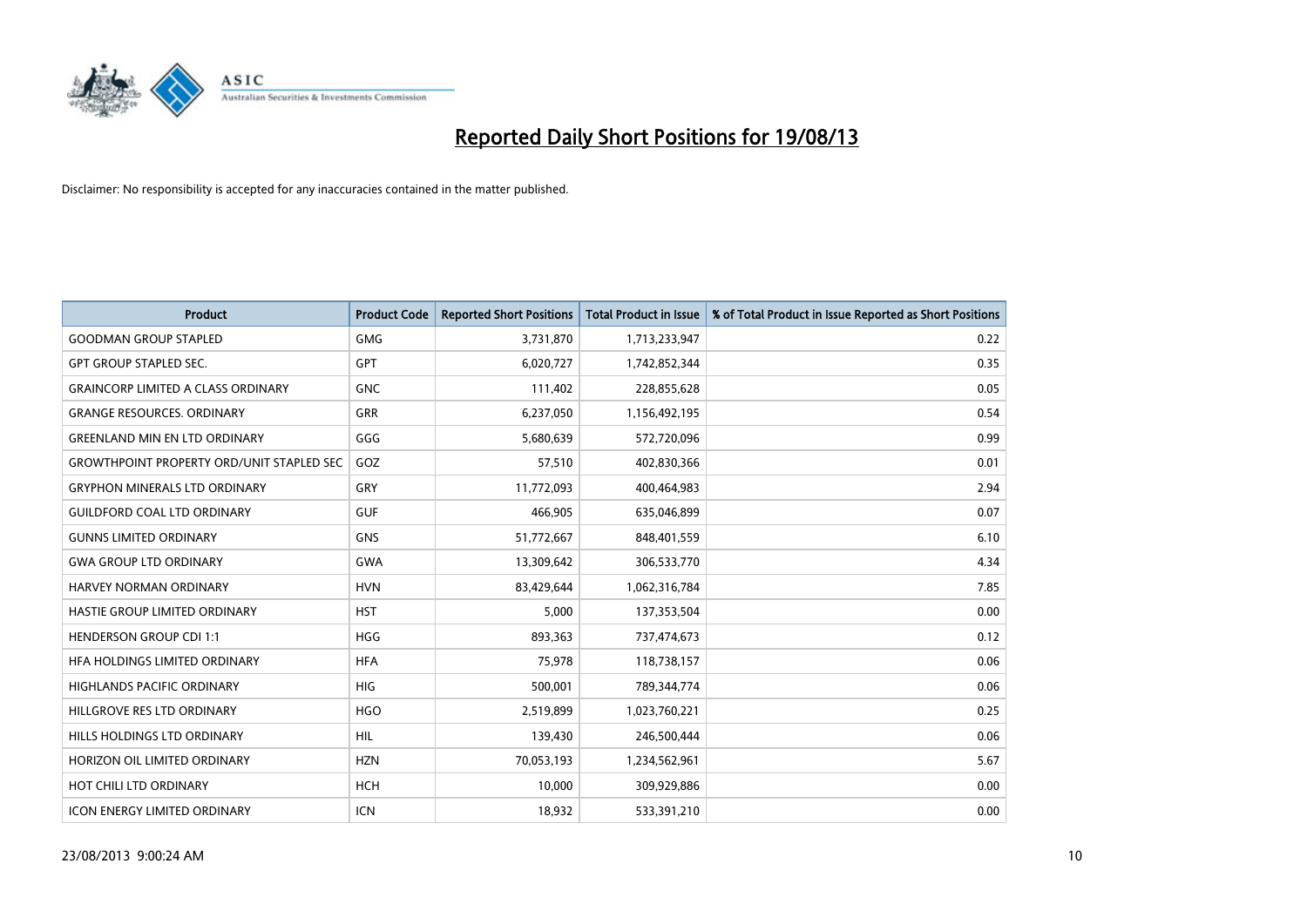

| <b>Product</b>                                   | <b>Product Code</b> | <b>Reported Short Positions</b> | <b>Total Product in Issue</b> | % of Total Product in Issue Reported as Short Positions |
|--------------------------------------------------|---------------------|---------------------------------|-------------------------------|---------------------------------------------------------|
| <b>GOODMAN GROUP STAPLED</b>                     | <b>GMG</b>          | 3,731,870                       | 1,713,233,947                 | 0.22                                                    |
| <b>GPT GROUP STAPLED SEC.</b>                    | <b>GPT</b>          | 6,020,727                       | 1,742,852,344                 | 0.35                                                    |
| <b>GRAINCORP LIMITED A CLASS ORDINARY</b>        | <b>GNC</b>          | 111,402                         | 228,855,628                   | 0.05                                                    |
| <b>GRANGE RESOURCES, ORDINARY</b>                | <b>GRR</b>          | 6,237,050                       | 1,156,492,195                 | 0.54                                                    |
| <b>GREENLAND MIN EN LTD ORDINARY</b>             | GGG                 | 5,680,639                       | 572,720,096                   | 0.99                                                    |
| <b>GROWTHPOINT PROPERTY ORD/UNIT STAPLED SEC</b> | GOZ                 | 57,510                          | 402,830,366                   | 0.01                                                    |
| <b>GRYPHON MINERALS LTD ORDINARY</b>             | <b>GRY</b>          | 11,772,093                      | 400,464,983                   | 2.94                                                    |
| <b>GUILDFORD COAL LTD ORDINARY</b>               | <b>GUF</b>          | 466,905                         | 635,046,899                   | 0.07                                                    |
| <b>GUNNS LIMITED ORDINARY</b>                    | <b>GNS</b>          | 51,772,667                      | 848,401,559                   | 6.10                                                    |
| <b>GWA GROUP LTD ORDINARY</b>                    | <b>GWA</b>          | 13,309,642                      | 306,533,770                   | 4.34                                                    |
| HARVEY NORMAN ORDINARY                           | <b>HVN</b>          | 83,429,644                      | 1,062,316,784                 | 7.85                                                    |
| HASTIE GROUP LIMITED ORDINARY                    | <b>HST</b>          | 5,000                           | 137,353,504                   | 0.00                                                    |
| <b>HENDERSON GROUP CDI 1:1</b>                   | <b>HGG</b>          | 893,363                         | 737,474,673                   | 0.12                                                    |
| HEA HOLDINGS LIMITED ORDINARY                    | <b>HFA</b>          | 75,978                          | 118,738,157                   | 0.06                                                    |
| HIGHLANDS PACIFIC ORDINARY                       | <b>HIG</b>          | 500,001                         | 789,344,774                   | 0.06                                                    |
| HILLGROVE RES LTD ORDINARY                       | <b>HGO</b>          | 2,519,899                       | 1,023,760,221                 | 0.25                                                    |
| HILLS HOLDINGS LTD ORDINARY                      | <b>HIL</b>          | 139,430                         | 246,500,444                   | 0.06                                                    |
| HORIZON OIL LIMITED ORDINARY                     | <b>HZN</b>          | 70,053,193                      | 1,234,562,961                 | 5.67                                                    |
| HOT CHILI LTD ORDINARY                           | <b>HCH</b>          | 10,000                          | 309,929,886                   | 0.00                                                    |
| <b>ICON ENERGY LIMITED ORDINARY</b>              | <b>ICN</b>          | 18,932                          | 533,391,210                   | 0.00                                                    |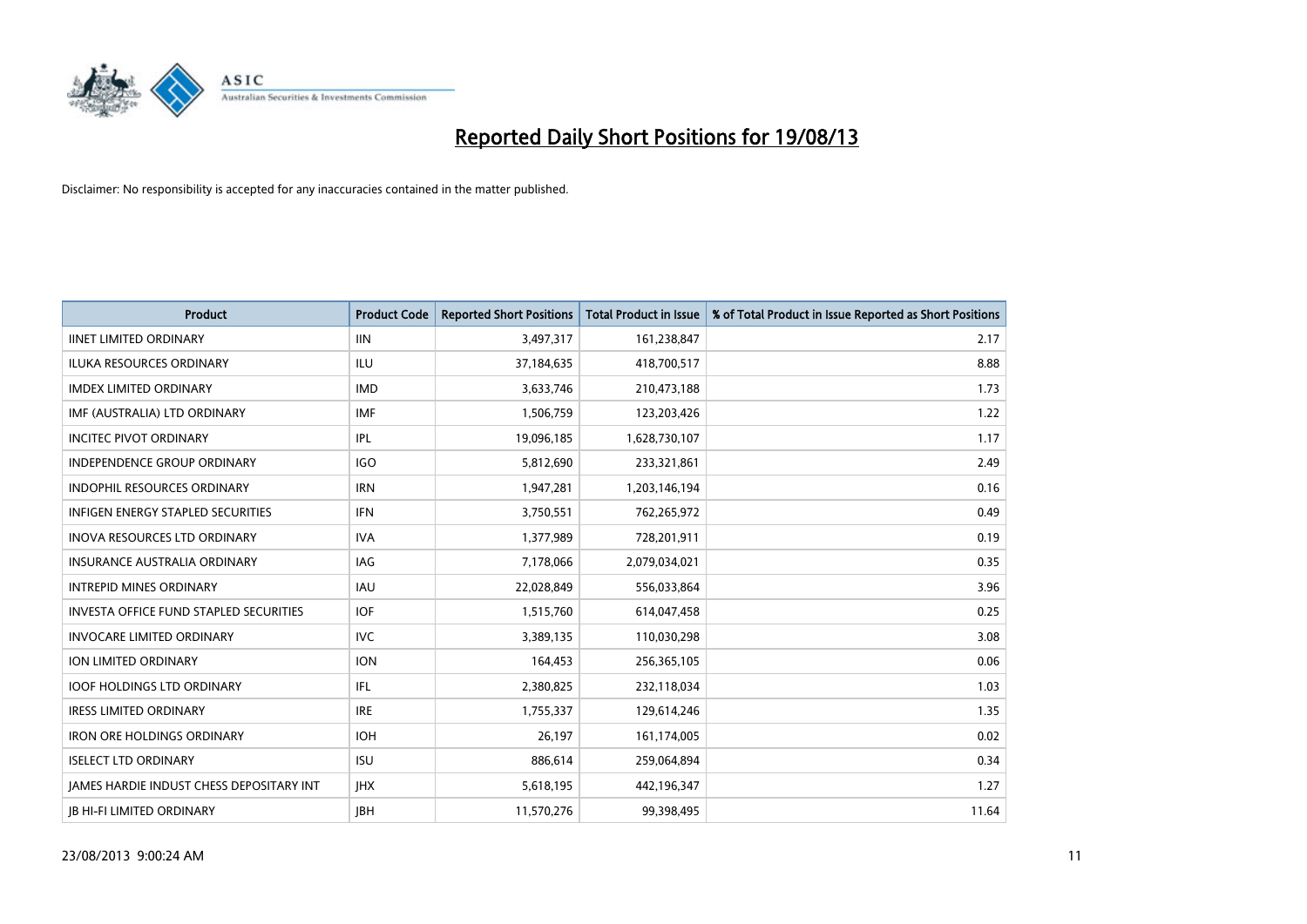

| <b>Product</b>                                | <b>Product Code</b> | <b>Reported Short Positions</b> | <b>Total Product in Issue</b> | % of Total Product in Issue Reported as Short Positions |
|-----------------------------------------------|---------------------|---------------------------------|-------------------------------|---------------------------------------------------------|
| <b>IINET LIMITED ORDINARY</b>                 | <b>IIN</b>          | 3,497,317                       | 161,238,847                   | 2.17                                                    |
| <b>ILUKA RESOURCES ORDINARY</b>               | <b>ILU</b>          | 37,184,635                      | 418,700,517                   | 8.88                                                    |
| <b>IMDEX LIMITED ORDINARY</b>                 | <b>IMD</b>          | 3,633,746                       | 210,473,188                   | 1.73                                                    |
| IMF (AUSTRALIA) LTD ORDINARY                  | <b>IMF</b>          | 1,506,759                       | 123,203,426                   | 1.22                                                    |
| <b>INCITEC PIVOT ORDINARY</b>                 | IPL                 | 19,096,185                      | 1,628,730,107                 | 1.17                                                    |
| <b>INDEPENDENCE GROUP ORDINARY</b>            | <b>IGO</b>          | 5,812,690                       | 233,321,861                   | 2.49                                                    |
| <b>INDOPHIL RESOURCES ORDINARY</b>            | <b>IRN</b>          | 1,947,281                       | 1,203,146,194                 | 0.16                                                    |
| <b>INFIGEN ENERGY STAPLED SECURITIES</b>      | <b>IFN</b>          | 3,750,551                       | 762,265,972                   | 0.49                                                    |
| <b>INOVA RESOURCES LTD ORDINARY</b>           | <b>IVA</b>          | 1,377,989                       | 728,201,911                   | 0.19                                                    |
| <b>INSURANCE AUSTRALIA ORDINARY</b>           | <b>IAG</b>          | 7,178,066                       | 2,079,034,021                 | 0.35                                                    |
| <b>INTREPID MINES ORDINARY</b>                | <b>IAU</b>          | 22,028,849                      | 556,033,864                   | 3.96                                                    |
| <b>INVESTA OFFICE FUND STAPLED SECURITIES</b> | <b>IOF</b>          | 1,515,760                       | 614,047,458                   | 0.25                                                    |
| <b>INVOCARE LIMITED ORDINARY</b>              | <b>IVC</b>          | 3,389,135                       | 110,030,298                   | 3.08                                                    |
| ION LIMITED ORDINARY                          | <b>ION</b>          | 164,453                         | 256,365,105                   | 0.06                                                    |
| <b>IOOF HOLDINGS LTD ORDINARY</b>             | IFL                 | 2,380,825                       | 232,118,034                   | 1.03                                                    |
| <b>IRESS LIMITED ORDINARY</b>                 | <b>IRE</b>          | 1,755,337                       | 129,614,246                   | 1.35                                                    |
| <b>IRON ORE HOLDINGS ORDINARY</b>             | <b>IOH</b>          | 26,197                          | 161,174,005                   | 0.02                                                    |
| <b>ISELECT LTD ORDINARY</b>                   | <b>ISU</b>          | 886,614                         | 259,064,894                   | 0.34                                                    |
| JAMES HARDIE INDUST CHESS DEPOSITARY INT      | <b>IHX</b>          | 5,618,195                       | 442,196,347                   | 1.27                                                    |
| <b>JB HI-FI LIMITED ORDINARY</b>              | <b>JBH</b>          | 11,570,276                      | 99,398,495                    | 11.64                                                   |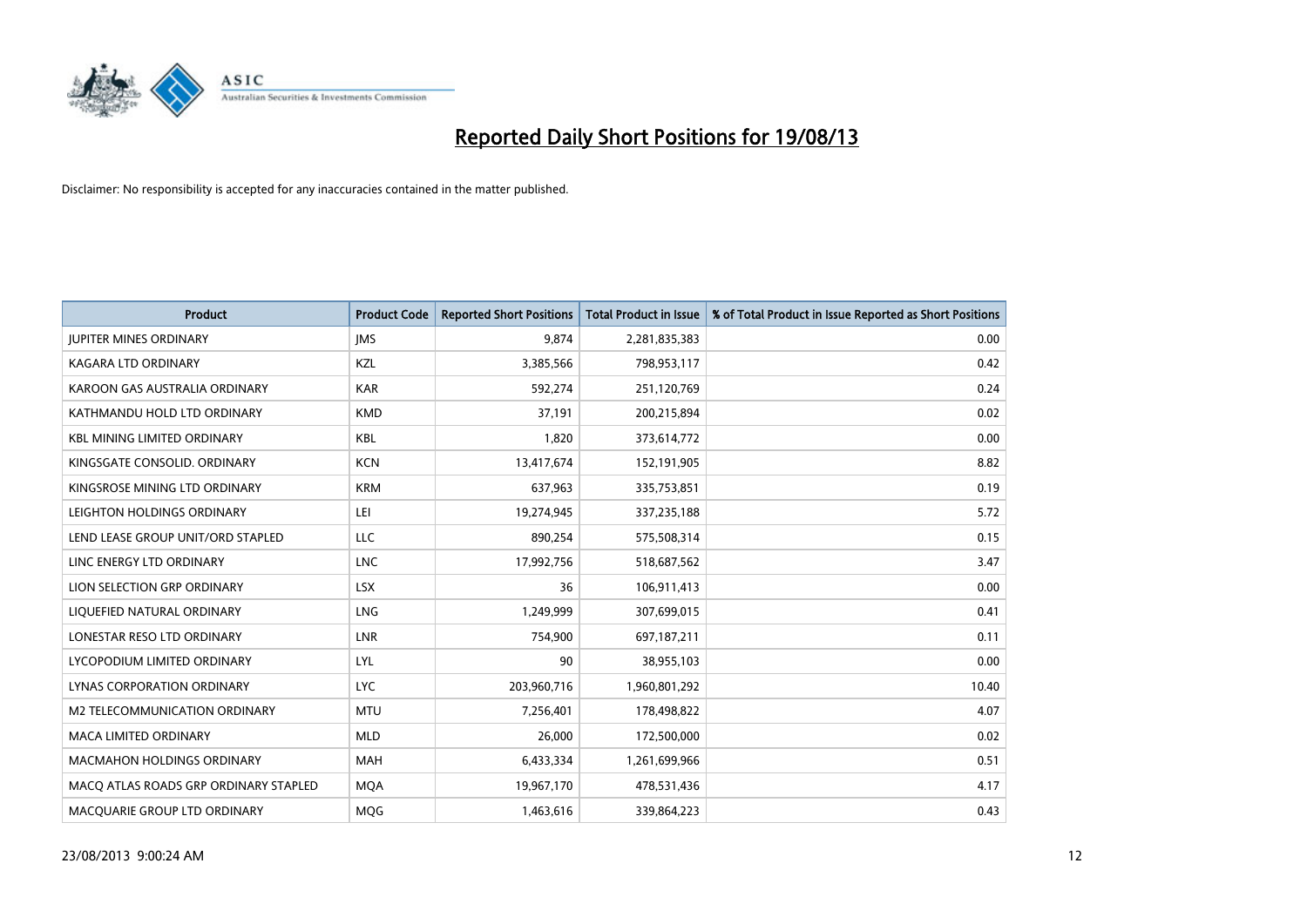

| <b>Product</b>                        | <b>Product Code</b> | <b>Reported Short Positions</b> | <b>Total Product in Issue</b> | % of Total Product in Issue Reported as Short Positions |
|---------------------------------------|---------------------|---------------------------------|-------------------------------|---------------------------------------------------------|
| <b>JUPITER MINES ORDINARY</b>         | <b>IMS</b>          | 9,874                           | 2,281,835,383                 | 0.00                                                    |
| KAGARA LTD ORDINARY                   | KZL                 | 3,385,566                       | 798,953,117                   | 0.42                                                    |
| KAROON GAS AUSTRALIA ORDINARY         | <b>KAR</b>          | 592,274                         | 251,120,769                   | 0.24                                                    |
| KATHMANDU HOLD LTD ORDINARY           | <b>KMD</b>          | 37,191                          | 200,215,894                   | 0.02                                                    |
| <b>KBL MINING LIMITED ORDINARY</b>    | <b>KBL</b>          | 1,820                           | 373,614,772                   | 0.00                                                    |
| KINGSGATE CONSOLID. ORDINARY          | <b>KCN</b>          | 13,417,674                      | 152,191,905                   | 8.82                                                    |
| KINGSROSE MINING LTD ORDINARY         | <b>KRM</b>          | 637,963                         | 335,753,851                   | 0.19                                                    |
| LEIGHTON HOLDINGS ORDINARY            | LEI                 | 19,274,945                      | 337,235,188                   | 5.72                                                    |
| LEND LEASE GROUP UNIT/ORD STAPLED     | <b>LLC</b>          | 890,254                         | 575,508,314                   | 0.15                                                    |
| LINC ENERGY LTD ORDINARY              | <b>LNC</b>          | 17,992,756                      | 518,687,562                   | 3.47                                                    |
| LION SELECTION GRP ORDINARY           | <b>LSX</b>          | 36                              | 106,911,413                   | 0.00                                                    |
| LIQUEFIED NATURAL ORDINARY            | <b>LNG</b>          | 1,249,999                       | 307,699,015                   | 0.41                                                    |
| LONESTAR RESO LTD ORDINARY            | <b>LNR</b>          | 754,900                         | 697,187,211                   | 0.11                                                    |
| LYCOPODIUM LIMITED ORDINARY           | LYL                 | 90                              | 38,955,103                    | 0.00                                                    |
| LYNAS CORPORATION ORDINARY            | <b>LYC</b>          | 203,960,716                     | 1,960,801,292                 | 10.40                                                   |
| M2 TELECOMMUNICATION ORDINARY         | <b>MTU</b>          | 7,256,401                       | 178,498,822                   | 4.07                                                    |
| MACA LIMITED ORDINARY                 | <b>MLD</b>          | 26,000                          | 172,500,000                   | 0.02                                                    |
| <b>MACMAHON HOLDINGS ORDINARY</b>     | <b>MAH</b>          | 6,433,334                       | 1,261,699,966                 | 0.51                                                    |
| MACO ATLAS ROADS GRP ORDINARY STAPLED | <b>MOA</b>          | 19,967,170                      | 478,531,436                   | 4.17                                                    |
| MACQUARIE GROUP LTD ORDINARY          | MQG                 | 1,463,616                       | 339,864,223                   | 0.43                                                    |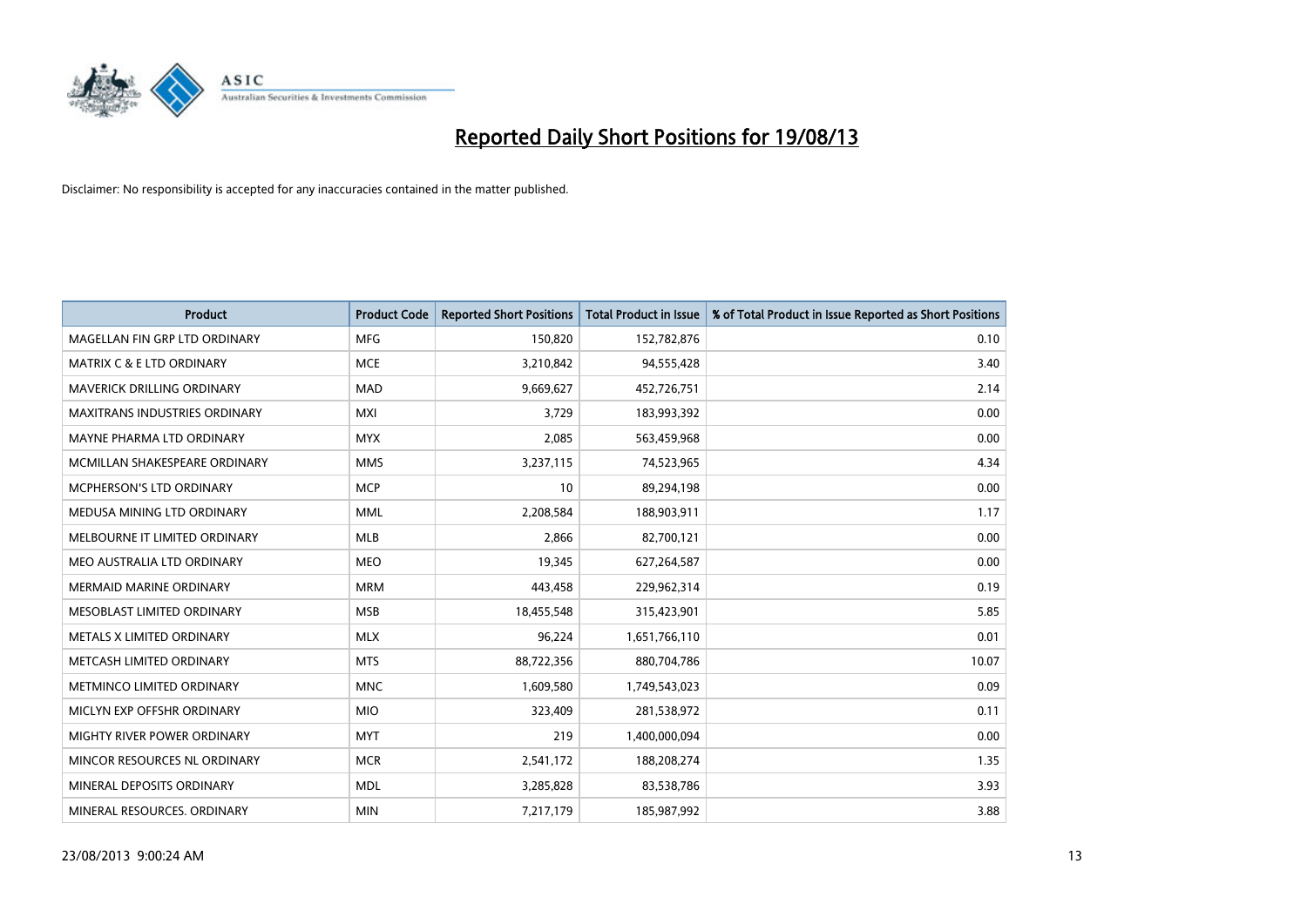

| <b>Product</b>                       | <b>Product Code</b> | <b>Reported Short Positions</b> | <b>Total Product in Issue</b> | % of Total Product in Issue Reported as Short Positions |
|--------------------------------------|---------------------|---------------------------------|-------------------------------|---------------------------------------------------------|
| MAGELLAN FIN GRP LTD ORDINARY        | <b>MFG</b>          | 150,820                         | 152,782,876                   | 0.10                                                    |
| <b>MATRIX C &amp; E LTD ORDINARY</b> | <b>MCE</b>          | 3,210,842                       | 94,555,428                    | 3.40                                                    |
| <b>MAVERICK DRILLING ORDINARY</b>    | <b>MAD</b>          | 9,669,627                       | 452,726,751                   | 2.14                                                    |
| MAXITRANS INDUSTRIES ORDINARY        | <b>MXI</b>          | 3,729                           | 183,993,392                   | 0.00                                                    |
| MAYNE PHARMA LTD ORDINARY            | <b>MYX</b>          | 2,085                           | 563,459,968                   | 0.00                                                    |
| MCMILLAN SHAKESPEARE ORDINARY        | <b>MMS</b>          | 3,237,115                       | 74,523,965                    | 4.34                                                    |
| <b>MCPHERSON'S LTD ORDINARY</b>      | <b>MCP</b>          | 10                              | 89,294,198                    | 0.00                                                    |
| MEDUSA MINING LTD ORDINARY           | <b>MML</b>          | 2,208,584                       | 188,903,911                   | 1.17                                                    |
| MELBOURNE IT LIMITED ORDINARY        | <b>MLB</b>          | 2,866                           | 82,700,121                    | 0.00                                                    |
| MEO AUSTRALIA LTD ORDINARY           | <b>MEO</b>          | 19,345                          | 627,264,587                   | 0.00                                                    |
| <b>MERMAID MARINE ORDINARY</b>       | <b>MRM</b>          | 443,458                         | 229,962,314                   | 0.19                                                    |
| MESOBLAST LIMITED ORDINARY           | <b>MSB</b>          | 18,455,548                      | 315,423,901                   | 5.85                                                    |
| METALS X LIMITED ORDINARY            | <b>MLX</b>          | 96,224                          | 1,651,766,110                 | 0.01                                                    |
| METCASH LIMITED ORDINARY             | <b>MTS</b>          | 88,722,356                      | 880,704,786                   | 10.07                                                   |
| METMINCO LIMITED ORDINARY            | <b>MNC</b>          | 1,609,580                       | 1,749,543,023                 | 0.09                                                    |
| MICLYN EXP OFFSHR ORDINARY           | <b>MIO</b>          | 323,409                         | 281,538,972                   | 0.11                                                    |
| MIGHTY RIVER POWER ORDINARY          | <b>MYT</b>          | 219                             | 1,400,000,094                 | 0.00                                                    |
| MINCOR RESOURCES NL ORDINARY         | <b>MCR</b>          | 2,541,172                       | 188,208,274                   | 1.35                                                    |
| MINERAL DEPOSITS ORDINARY            | <b>MDL</b>          | 3,285,828                       | 83,538,786                    | 3.93                                                    |
| MINERAL RESOURCES. ORDINARY          | <b>MIN</b>          | 7,217,179                       | 185,987,992                   | 3.88                                                    |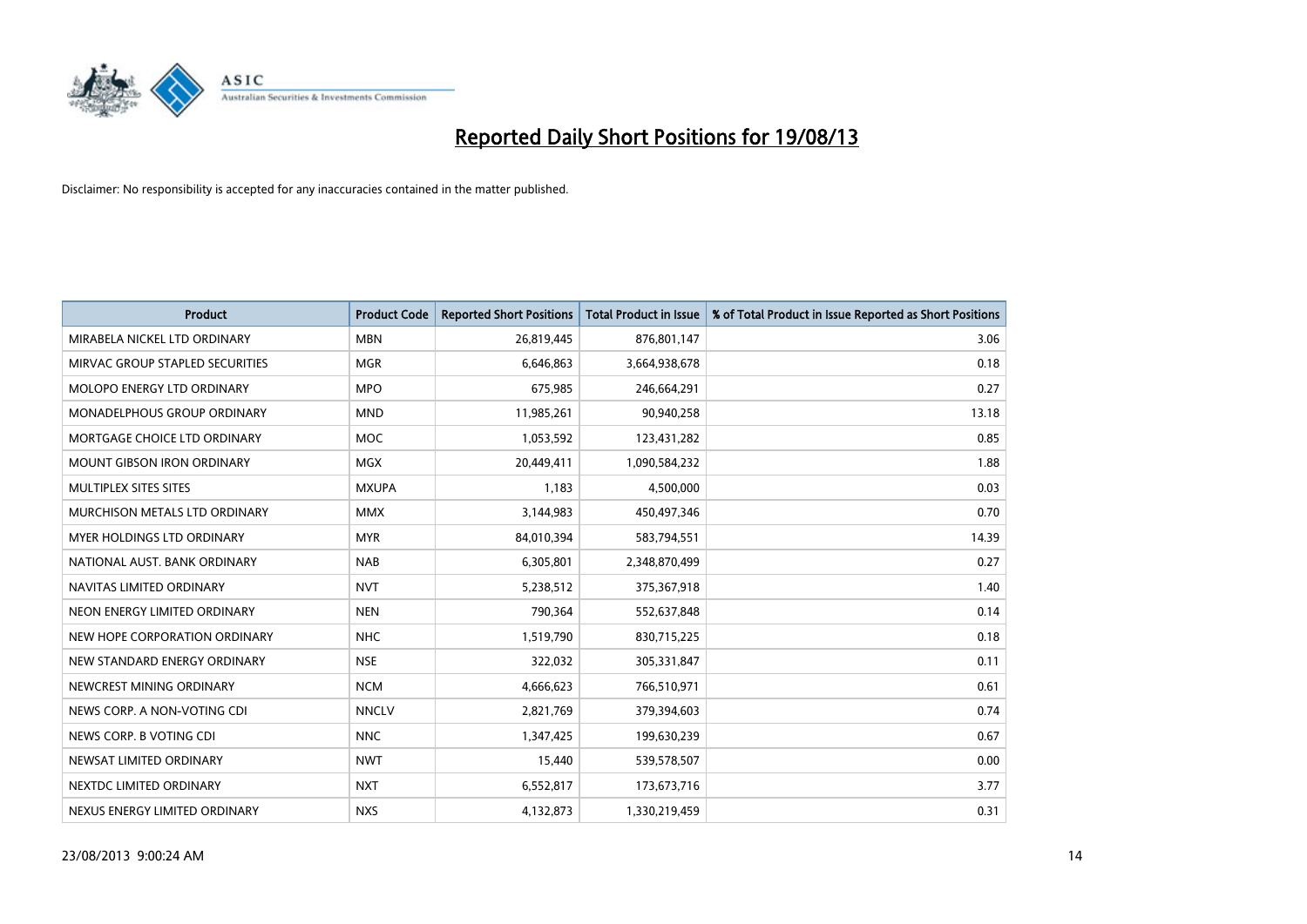

| <b>Product</b>                     | <b>Product Code</b> | <b>Reported Short Positions</b> | <b>Total Product in Issue</b> | % of Total Product in Issue Reported as Short Positions |
|------------------------------------|---------------------|---------------------------------|-------------------------------|---------------------------------------------------------|
| MIRABELA NICKEL LTD ORDINARY       | <b>MBN</b>          | 26,819,445                      | 876,801,147                   | 3.06                                                    |
| MIRVAC GROUP STAPLED SECURITIES    | <b>MGR</b>          | 6,646,863                       | 3,664,938,678                 | 0.18                                                    |
| MOLOPO ENERGY LTD ORDINARY         | <b>MPO</b>          | 675,985                         | 246,664,291                   | 0.27                                                    |
| <b>MONADELPHOUS GROUP ORDINARY</b> | <b>MND</b>          | 11,985,261                      | 90,940,258                    | 13.18                                                   |
| MORTGAGE CHOICE LTD ORDINARY       | <b>MOC</b>          | 1,053,592                       | 123,431,282                   | 0.85                                                    |
| <b>MOUNT GIBSON IRON ORDINARY</b>  | MGX                 | 20,449,411                      | 1,090,584,232                 | 1.88                                                    |
| MULTIPLEX SITES SITES              | <b>MXUPA</b>        | 1,183                           | 4,500,000                     | 0.03                                                    |
| MURCHISON METALS LTD ORDINARY      | <b>MMX</b>          | 3,144,983                       | 450,497,346                   | 0.70                                                    |
| <b>MYER HOLDINGS LTD ORDINARY</b>  | <b>MYR</b>          | 84,010,394                      | 583,794,551                   | 14.39                                                   |
| NATIONAL AUST, BANK ORDINARY       | <b>NAB</b>          | 6,305,801                       | 2,348,870,499                 | 0.27                                                    |
| NAVITAS LIMITED ORDINARY           | <b>NVT</b>          | 5,238,512                       | 375,367,918                   | 1.40                                                    |
| NEON ENERGY LIMITED ORDINARY       | <b>NEN</b>          | 790,364                         | 552,637,848                   | 0.14                                                    |
| NEW HOPE CORPORATION ORDINARY      | <b>NHC</b>          | 1,519,790                       | 830,715,225                   | 0.18                                                    |
| NEW STANDARD ENERGY ORDINARY       | <b>NSE</b>          | 322,032                         | 305,331,847                   | 0.11                                                    |
| NEWCREST MINING ORDINARY           | <b>NCM</b>          | 4,666,623                       | 766,510,971                   | 0.61                                                    |
| NEWS CORP. A NON-VOTING CDI        | <b>NNCLV</b>        | 2,821,769                       | 379,394,603                   | 0.74                                                    |
| NEWS CORP. B VOTING CDI            | <b>NNC</b>          | 1,347,425                       | 199,630,239                   | 0.67                                                    |
| NEWSAT LIMITED ORDINARY            | <b>NWT</b>          | 15,440                          | 539,578,507                   | 0.00                                                    |
| NEXTDC LIMITED ORDINARY            | <b>NXT</b>          | 6,552,817                       | 173,673,716                   | 3.77                                                    |
| NEXUS ENERGY LIMITED ORDINARY      | <b>NXS</b>          | 4,132,873                       | 1,330,219,459                 | 0.31                                                    |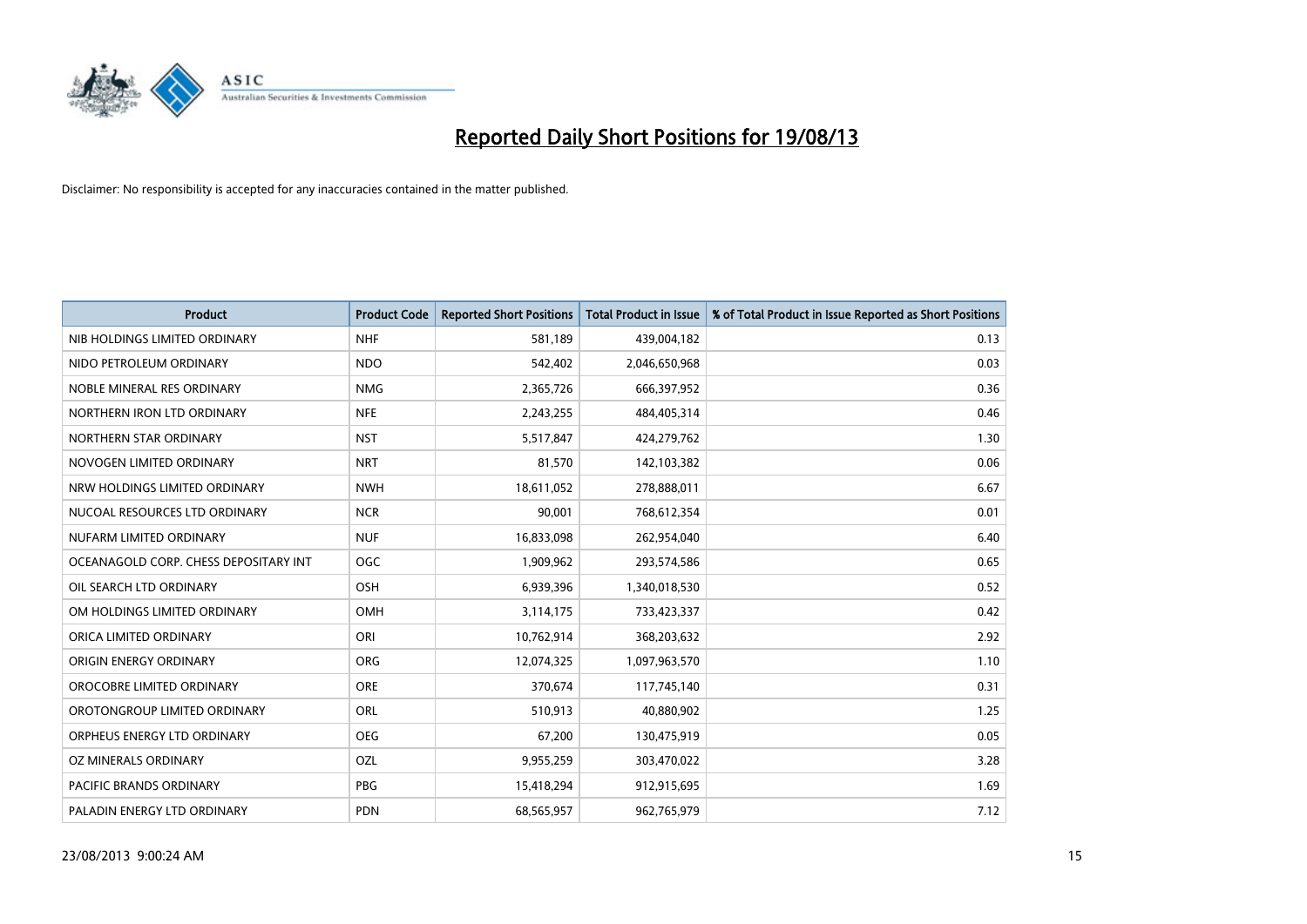

| <b>Product</b>                        | <b>Product Code</b> | <b>Reported Short Positions</b> | <b>Total Product in Issue</b> | % of Total Product in Issue Reported as Short Positions |
|---------------------------------------|---------------------|---------------------------------|-------------------------------|---------------------------------------------------------|
| NIB HOLDINGS LIMITED ORDINARY         | <b>NHF</b>          | 581,189                         | 439,004,182                   | 0.13                                                    |
| NIDO PETROLEUM ORDINARY               | <b>NDO</b>          | 542,402                         | 2,046,650,968                 | 0.03                                                    |
| NOBLE MINERAL RES ORDINARY            | <b>NMG</b>          | 2,365,726                       | 666,397,952                   | 0.36                                                    |
| NORTHERN IRON LTD ORDINARY            | <b>NFE</b>          | 2,243,255                       | 484,405,314                   | 0.46                                                    |
| NORTHERN STAR ORDINARY                | <b>NST</b>          | 5,517,847                       | 424,279,762                   | 1.30                                                    |
| NOVOGEN LIMITED ORDINARY              | <b>NRT</b>          | 81,570                          | 142,103,382                   | 0.06                                                    |
| NRW HOLDINGS LIMITED ORDINARY         | <b>NWH</b>          | 18,611,052                      | 278,888,011                   | 6.67                                                    |
| NUCOAL RESOURCES LTD ORDINARY         | <b>NCR</b>          | 90,001                          | 768,612,354                   | 0.01                                                    |
| NUFARM LIMITED ORDINARY               | <b>NUF</b>          | 16,833,098                      | 262,954,040                   | 6.40                                                    |
| OCEANAGOLD CORP. CHESS DEPOSITARY INT | <b>OGC</b>          | 1,909,962                       | 293,574,586                   | 0.65                                                    |
| OIL SEARCH LTD ORDINARY               | OSH                 | 6,939,396                       | 1,340,018,530                 | 0.52                                                    |
| OM HOLDINGS LIMITED ORDINARY          | OMH                 | 3,114,175                       | 733,423,337                   | 0.42                                                    |
| ORICA LIMITED ORDINARY                | ORI                 | 10,762,914                      | 368,203,632                   | 2.92                                                    |
| ORIGIN ENERGY ORDINARY                | <b>ORG</b>          | 12,074,325                      | 1,097,963,570                 | 1.10                                                    |
| OROCOBRE LIMITED ORDINARY             | <b>ORE</b>          | 370,674                         | 117,745,140                   | 0.31                                                    |
| OROTONGROUP LIMITED ORDINARY          | ORL                 | 510,913                         | 40,880,902                    | 1.25                                                    |
| ORPHEUS ENERGY LTD ORDINARY           | <b>OEG</b>          | 67,200                          | 130,475,919                   | 0.05                                                    |
| OZ MINERALS ORDINARY                  | OZL                 | 9,955,259                       | 303,470,022                   | 3.28                                                    |
| <b>PACIFIC BRANDS ORDINARY</b>        | <b>PBG</b>          | 15,418,294                      | 912,915,695                   | 1.69                                                    |
| PALADIN ENERGY LTD ORDINARY           | <b>PDN</b>          | 68,565,957                      | 962,765,979                   | 7.12                                                    |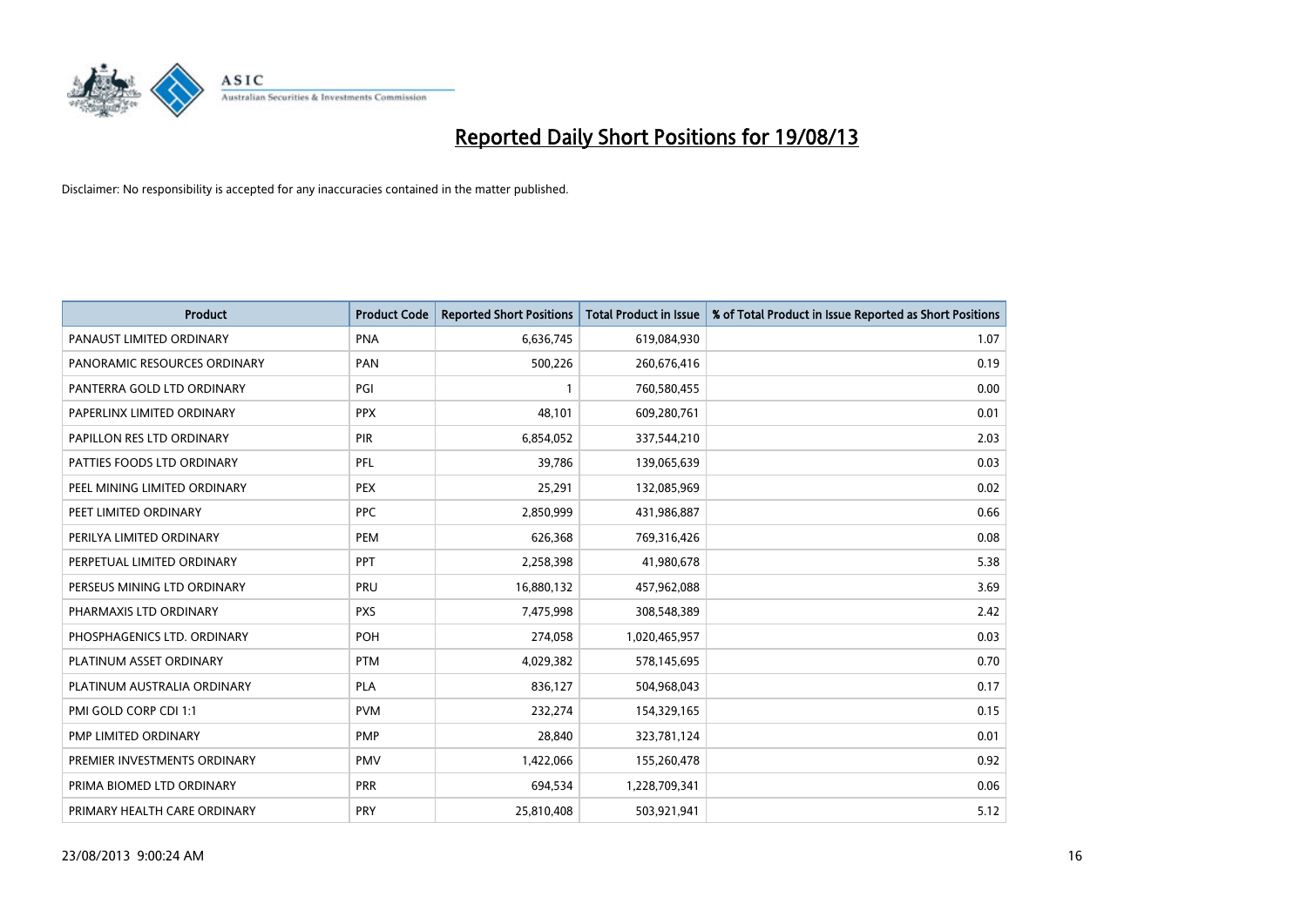

| Product                      | <b>Product Code</b> | <b>Reported Short Positions</b> | <b>Total Product in Issue</b> | % of Total Product in Issue Reported as Short Positions |
|------------------------------|---------------------|---------------------------------|-------------------------------|---------------------------------------------------------|
| PANAUST LIMITED ORDINARY     | <b>PNA</b>          | 6,636,745                       | 619,084,930                   | 1.07                                                    |
| PANORAMIC RESOURCES ORDINARY | PAN                 | 500,226                         | 260,676,416                   | 0.19                                                    |
| PANTERRA GOLD LTD ORDINARY   | PGI                 | 1                               | 760,580,455                   | 0.00                                                    |
| PAPERLINX LIMITED ORDINARY   | <b>PPX</b>          | 48,101                          | 609,280,761                   | 0.01                                                    |
| PAPILLON RES LTD ORDINARY    | <b>PIR</b>          | 6,854,052                       | 337,544,210                   | 2.03                                                    |
| PATTIES FOODS LTD ORDINARY   | PFL                 | 39,786                          | 139,065,639                   | 0.03                                                    |
| PEEL MINING LIMITED ORDINARY | <b>PEX</b>          | 25,291                          | 132,085,969                   | 0.02                                                    |
| PEET LIMITED ORDINARY        | <b>PPC</b>          | 2,850,999                       | 431,986,887                   | 0.66                                                    |
| PERILYA LIMITED ORDINARY     | <b>PEM</b>          | 626,368                         | 769,316,426                   | 0.08                                                    |
| PERPETUAL LIMITED ORDINARY   | PPT                 | 2,258,398                       | 41,980,678                    | 5.38                                                    |
| PERSEUS MINING LTD ORDINARY  | <b>PRU</b>          | 16,880,132                      | 457,962,088                   | 3.69                                                    |
| PHARMAXIS LTD ORDINARY       | <b>PXS</b>          | 7,475,998                       | 308,548,389                   | 2.42                                                    |
| PHOSPHAGENICS LTD. ORDINARY  | <b>POH</b>          | 274,058                         | 1,020,465,957                 | 0.03                                                    |
| PLATINUM ASSET ORDINARY      | <b>PTM</b>          | 4,029,382                       | 578,145,695                   | 0.70                                                    |
| PLATINUM AUSTRALIA ORDINARY  | <b>PLA</b>          | 836,127                         | 504,968,043                   | 0.17                                                    |
| PMI GOLD CORP CDI 1:1        | <b>PVM</b>          | 232,274                         | 154,329,165                   | 0.15                                                    |
| PMP LIMITED ORDINARY         | <b>PMP</b>          | 28,840                          | 323,781,124                   | 0.01                                                    |
| PREMIER INVESTMENTS ORDINARY | <b>PMV</b>          | 1,422,066                       | 155,260,478                   | 0.92                                                    |
| PRIMA BIOMED LTD ORDINARY    | <b>PRR</b>          | 694,534                         | 1,228,709,341                 | 0.06                                                    |
| PRIMARY HEALTH CARE ORDINARY | <b>PRY</b>          | 25,810,408                      | 503,921,941                   | 5.12                                                    |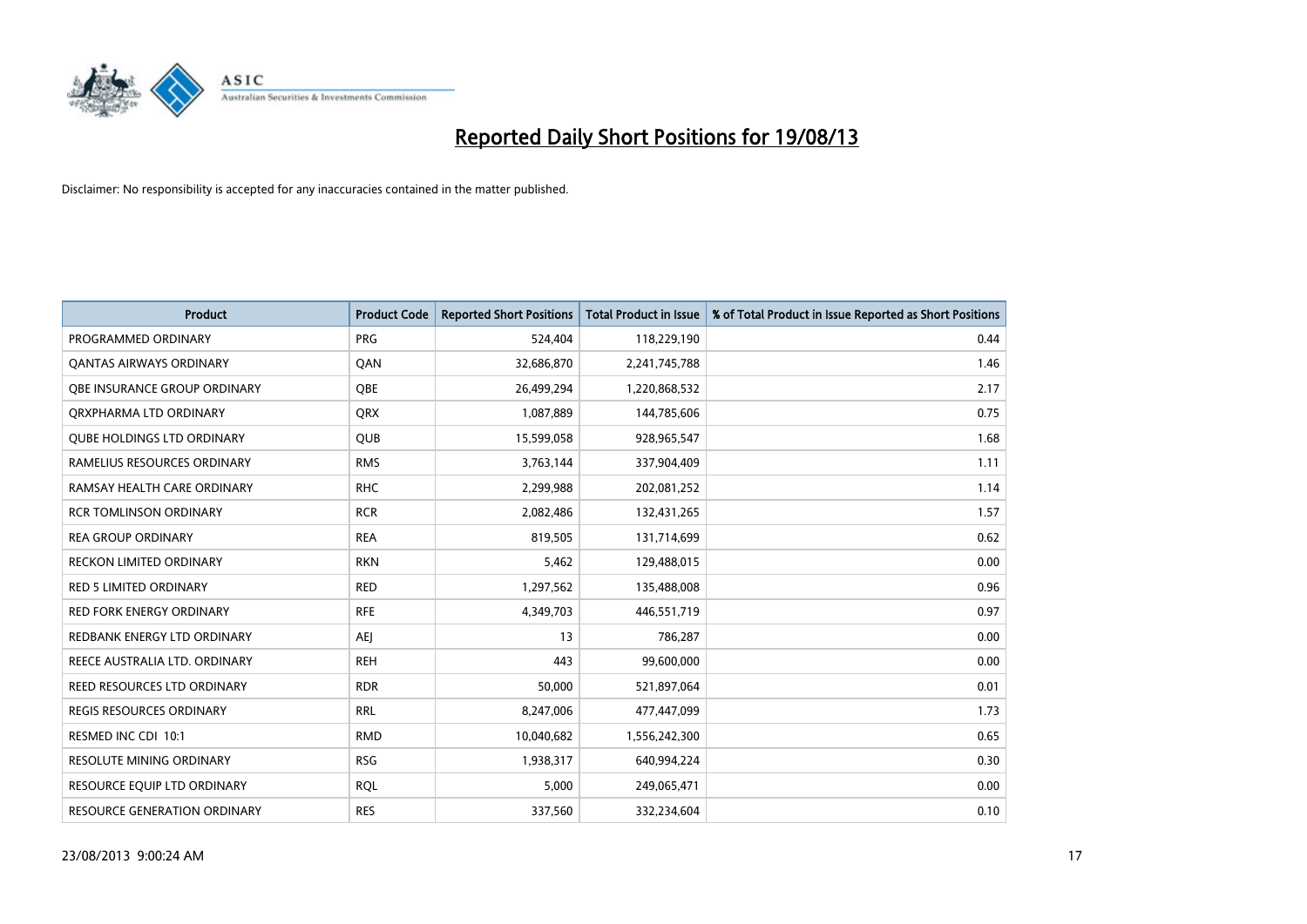

| <b>Product</b>                      | <b>Product Code</b> | <b>Reported Short Positions</b> | <b>Total Product in Issue</b> | % of Total Product in Issue Reported as Short Positions |
|-------------------------------------|---------------------|---------------------------------|-------------------------------|---------------------------------------------------------|
| PROGRAMMED ORDINARY                 | <b>PRG</b>          | 524,404                         | 118,229,190                   | 0.44                                                    |
| <b>QANTAS AIRWAYS ORDINARY</b>      | QAN                 | 32,686,870                      | 2,241,745,788                 | 1.46                                                    |
| <b>OBE INSURANCE GROUP ORDINARY</b> | <b>OBE</b>          | 26,499,294                      | 1,220,868,532                 | 2.17                                                    |
| ORXPHARMA LTD ORDINARY              | <b>ORX</b>          | 1,087,889                       | 144,785,606                   | 0.75                                                    |
| <b>QUBE HOLDINGS LTD ORDINARY</b>   | <b>QUB</b>          | 15,599,058                      | 928,965,547                   | 1.68                                                    |
| RAMELIUS RESOURCES ORDINARY         | <b>RMS</b>          | 3,763,144                       | 337,904,409                   | 1.11                                                    |
| RAMSAY HEALTH CARE ORDINARY         | <b>RHC</b>          | 2,299,988                       | 202,081,252                   | 1.14                                                    |
| <b>RCR TOMLINSON ORDINARY</b>       | <b>RCR</b>          | 2,082,486                       | 132,431,265                   | 1.57                                                    |
| <b>REA GROUP ORDINARY</b>           | <b>REA</b>          | 819,505                         | 131,714,699                   | 0.62                                                    |
| <b>RECKON LIMITED ORDINARY</b>      | <b>RKN</b>          | 5,462                           | 129,488,015                   | 0.00                                                    |
| RED 5 LIMITED ORDINARY              | <b>RED</b>          | 1,297,562                       | 135,488,008                   | 0.96                                                    |
| <b>RED FORK ENERGY ORDINARY</b>     | <b>RFE</b>          | 4,349,703                       | 446,551,719                   | 0.97                                                    |
| REDBANK ENERGY LTD ORDINARY         | <b>AEI</b>          | 13                              | 786,287                       | 0.00                                                    |
| REECE AUSTRALIA LTD. ORDINARY       | <b>REH</b>          | 443                             | 99,600,000                    | 0.00                                                    |
| <b>REED RESOURCES LTD ORDINARY</b>  | <b>RDR</b>          | 50,000                          | 521,897,064                   | 0.01                                                    |
| <b>REGIS RESOURCES ORDINARY</b>     | <b>RRL</b>          | 8,247,006                       | 477,447,099                   | 1.73                                                    |
| RESMED INC CDI 10:1                 | <b>RMD</b>          | 10,040,682                      | 1,556,242,300                 | 0.65                                                    |
| RESOLUTE MINING ORDINARY            | <b>RSG</b>          | 1,938,317                       | 640,994,224                   | 0.30                                                    |
| RESOURCE EQUIP LTD ORDINARY         | <b>ROL</b>          | 5,000                           | 249,065,471                   | 0.00                                                    |
| RESOURCE GENERATION ORDINARY        | <b>RES</b>          | 337,560                         | 332,234,604                   | 0.10                                                    |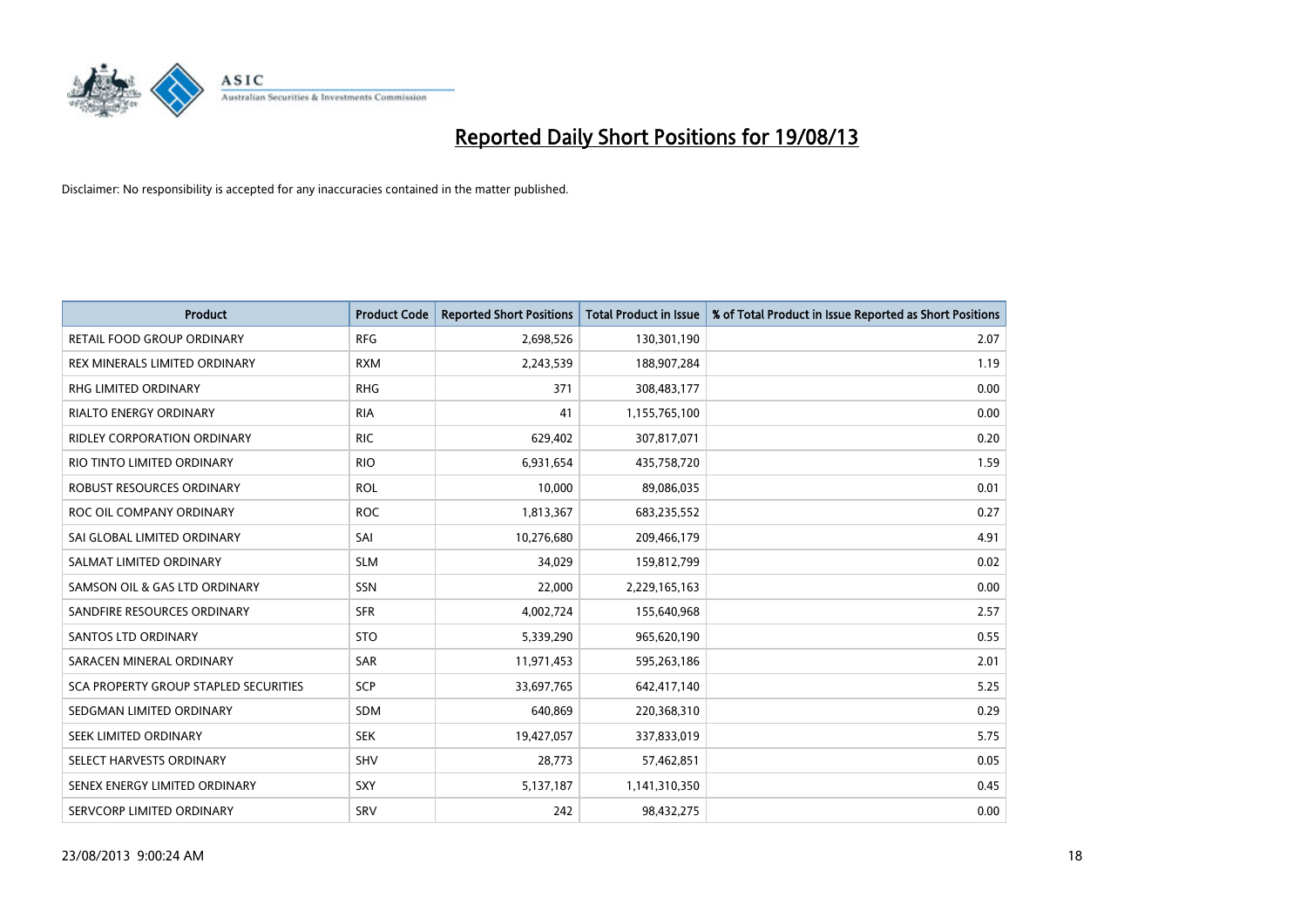

| <b>Product</b>                        | <b>Product Code</b> | <b>Reported Short Positions</b> | <b>Total Product in Issue</b> | % of Total Product in Issue Reported as Short Positions |
|---------------------------------------|---------------------|---------------------------------|-------------------------------|---------------------------------------------------------|
| <b>RETAIL FOOD GROUP ORDINARY</b>     | <b>RFG</b>          | 2,698,526                       | 130,301,190                   | 2.07                                                    |
| <b>REX MINERALS LIMITED ORDINARY</b>  | <b>RXM</b>          | 2,243,539                       | 188,907,284                   | 1.19                                                    |
| <b>RHG LIMITED ORDINARY</b>           | <b>RHG</b>          | 371                             | 308,483,177                   | 0.00                                                    |
| RIALTO ENERGY ORDINARY                | <b>RIA</b>          | 41                              | 1,155,765,100                 | 0.00                                                    |
| <b>RIDLEY CORPORATION ORDINARY</b>    | <b>RIC</b>          | 629,402                         | 307,817,071                   | 0.20                                                    |
| RIO TINTO LIMITED ORDINARY            | <b>RIO</b>          | 6,931,654                       | 435,758,720                   | 1.59                                                    |
| <b>ROBUST RESOURCES ORDINARY</b>      | <b>ROL</b>          | 10,000                          | 89,086,035                    | 0.01                                                    |
| ROC OIL COMPANY ORDINARY              | <b>ROC</b>          | 1,813,367                       | 683,235,552                   | 0.27                                                    |
| SAI GLOBAL LIMITED ORDINARY           | SAI                 | 10,276,680                      | 209,466,179                   | 4.91                                                    |
| SALMAT LIMITED ORDINARY               | <b>SLM</b>          | 34,029                          | 159,812,799                   | 0.02                                                    |
| SAMSON OIL & GAS LTD ORDINARY         | SSN                 | 22,000                          | 2,229,165,163                 | 0.00                                                    |
| SANDFIRE RESOURCES ORDINARY           | <b>SFR</b>          | 4,002,724                       | 155,640,968                   | 2.57                                                    |
| SANTOS LTD ORDINARY                   | <b>STO</b>          | 5,339,290                       | 965,620,190                   | 0.55                                                    |
| SARACEN MINERAL ORDINARY              | <b>SAR</b>          | 11,971,453                      | 595,263,186                   | 2.01                                                    |
| SCA PROPERTY GROUP STAPLED SECURITIES | SCP                 | 33,697,765                      | 642,417,140                   | 5.25                                                    |
| SEDGMAN LIMITED ORDINARY              | SDM                 | 640,869                         | 220,368,310                   | 0.29                                                    |
| SEEK LIMITED ORDINARY                 | <b>SEK</b>          | 19,427,057                      | 337,833,019                   | 5.75                                                    |
| SELECT HARVESTS ORDINARY              | SHV                 | 28,773                          | 57,462,851                    | 0.05                                                    |
| SENEX ENERGY LIMITED ORDINARY         | <b>SXY</b>          | 5,137,187                       | 1,141,310,350                 | 0.45                                                    |
| SERVCORP LIMITED ORDINARY             | SRV                 | 242                             | 98,432,275                    | 0.00                                                    |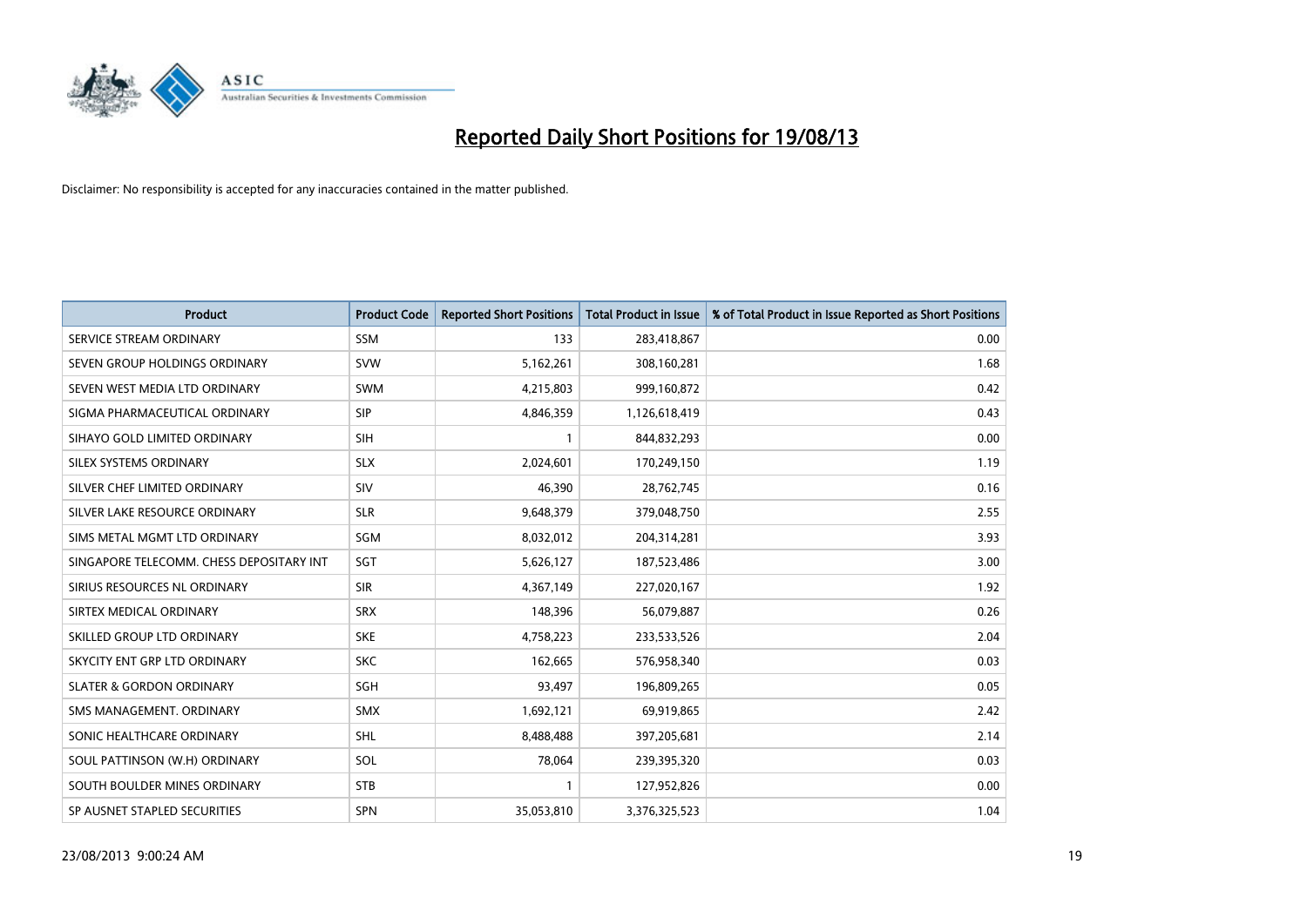

| <b>Product</b>                           | <b>Product Code</b> | <b>Reported Short Positions</b> | <b>Total Product in Issue</b> | % of Total Product in Issue Reported as Short Positions |
|------------------------------------------|---------------------|---------------------------------|-------------------------------|---------------------------------------------------------|
| SERVICE STREAM ORDINARY                  | <b>SSM</b>          | 133                             | 283,418,867                   | 0.00                                                    |
| SEVEN GROUP HOLDINGS ORDINARY            | <b>SVW</b>          | 5,162,261                       | 308,160,281                   | 1.68                                                    |
| SEVEN WEST MEDIA LTD ORDINARY            | <b>SWM</b>          | 4,215,803                       | 999,160,872                   | 0.42                                                    |
| SIGMA PHARMACEUTICAL ORDINARY            | <b>SIP</b>          | 4,846,359                       | 1,126,618,419                 | 0.43                                                    |
| SIHAYO GOLD LIMITED ORDINARY             | SIH                 | 1                               | 844,832,293                   | 0.00                                                    |
| SILEX SYSTEMS ORDINARY                   | <b>SLX</b>          | 2,024,601                       | 170,249,150                   | 1.19                                                    |
| SILVER CHEF LIMITED ORDINARY             | <b>SIV</b>          | 46,390                          | 28,762,745                    | 0.16                                                    |
| SILVER LAKE RESOURCE ORDINARY            | <b>SLR</b>          | 9,648,379                       | 379,048,750                   | 2.55                                                    |
| SIMS METAL MGMT LTD ORDINARY             | SGM                 | 8,032,012                       | 204,314,281                   | 3.93                                                    |
| SINGAPORE TELECOMM. CHESS DEPOSITARY INT | SGT                 | 5,626,127                       | 187,523,486                   | 3.00                                                    |
| SIRIUS RESOURCES NL ORDINARY             | <b>SIR</b>          | 4,367,149                       | 227,020,167                   | 1.92                                                    |
| SIRTEX MEDICAL ORDINARY                  | <b>SRX</b>          | 148,396                         | 56,079,887                    | 0.26                                                    |
| SKILLED GROUP LTD ORDINARY               | <b>SKE</b>          | 4,758,223                       | 233,533,526                   | 2.04                                                    |
| SKYCITY ENT GRP LTD ORDINARY             | <b>SKC</b>          | 162,665                         | 576,958,340                   | 0.03                                                    |
| <b>SLATER &amp; GORDON ORDINARY</b>      | SGH                 | 93,497                          | 196,809,265                   | 0.05                                                    |
| SMS MANAGEMENT. ORDINARY                 | <b>SMX</b>          | 1,692,121                       | 69,919,865                    | 2.42                                                    |
| SONIC HEALTHCARE ORDINARY                | <b>SHL</b>          | 8,488,488                       | 397,205,681                   | 2.14                                                    |
| SOUL PATTINSON (W.H) ORDINARY            | <b>SOL</b>          | 78,064                          | 239,395,320                   | 0.03                                                    |
| SOUTH BOULDER MINES ORDINARY             | <b>STB</b>          | 1                               | 127,952,826                   | 0.00                                                    |
| SP AUSNET STAPLED SECURITIES             | SPN                 | 35,053,810                      | 3,376,325,523                 | 1.04                                                    |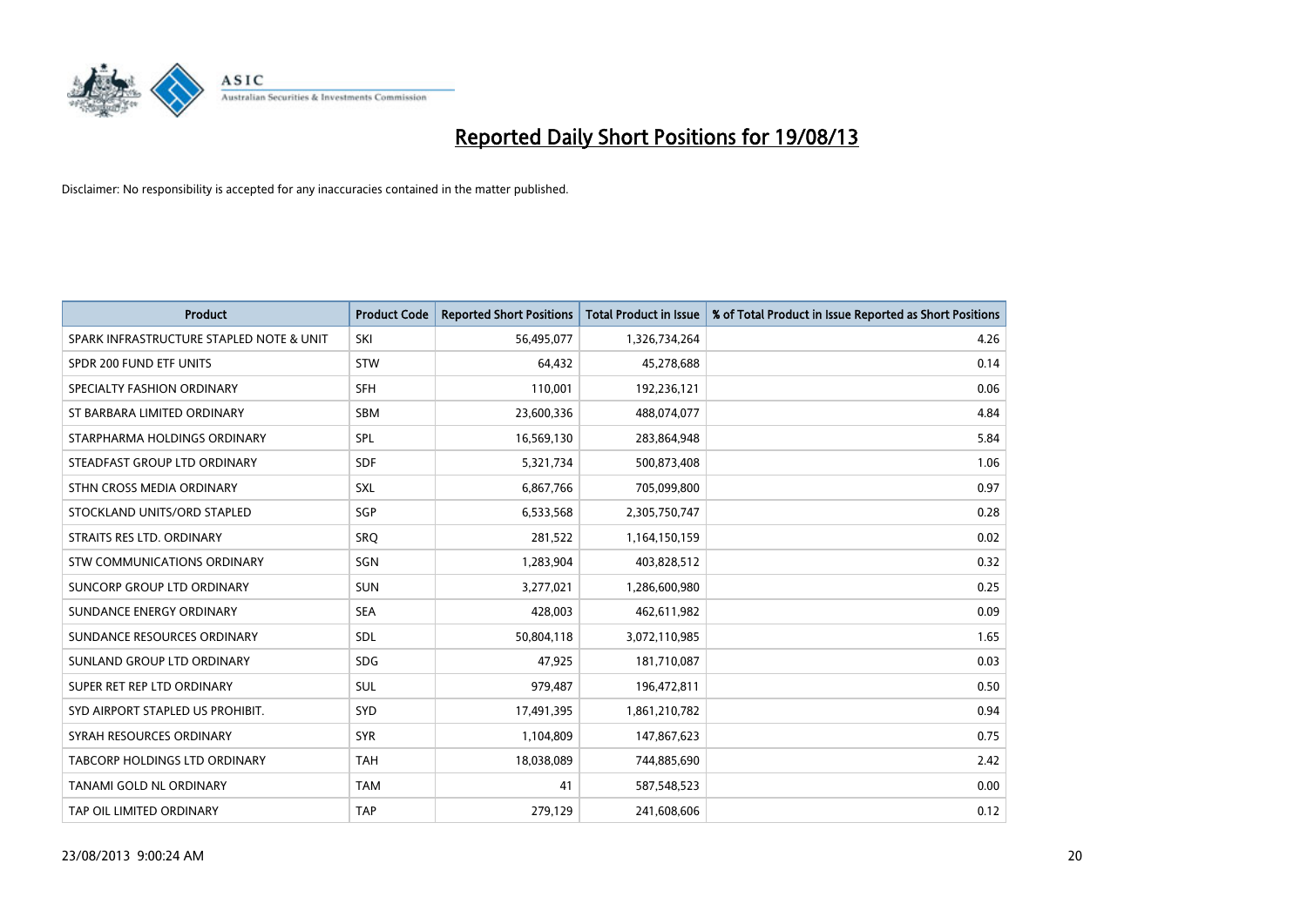

| <b>Product</b>                           | <b>Product Code</b> | <b>Reported Short Positions</b> | <b>Total Product in Issue</b> | % of Total Product in Issue Reported as Short Positions |
|------------------------------------------|---------------------|---------------------------------|-------------------------------|---------------------------------------------------------|
| SPARK INFRASTRUCTURE STAPLED NOTE & UNIT | SKI                 | 56,495,077                      | 1,326,734,264                 | 4.26                                                    |
| SPDR 200 FUND ETF UNITS                  | <b>STW</b>          | 64,432                          | 45,278,688                    | 0.14                                                    |
| SPECIALTY FASHION ORDINARY               | <b>SFH</b>          | 110,001                         | 192,236,121                   | 0.06                                                    |
| ST BARBARA LIMITED ORDINARY              | <b>SBM</b>          | 23,600,336                      | 488,074,077                   | 4.84                                                    |
| STARPHARMA HOLDINGS ORDINARY             | SPL                 | 16,569,130                      | 283,864,948                   | 5.84                                                    |
| STEADFAST GROUP LTD ORDINARY             | <b>SDF</b>          | 5,321,734                       | 500,873,408                   | 1.06                                                    |
| STHN CROSS MEDIA ORDINARY                | <b>SXL</b>          | 6,867,766                       | 705,099,800                   | 0.97                                                    |
| STOCKLAND UNITS/ORD STAPLED              | SGP                 | 6,533,568                       | 2,305,750,747                 | 0.28                                                    |
| STRAITS RES LTD. ORDINARY                | <b>SRO</b>          | 281,522                         | 1,164,150,159                 | 0.02                                                    |
| STW COMMUNICATIONS ORDINARY              | SGN                 | 1,283,904                       | 403,828,512                   | 0.32                                                    |
| SUNCORP GROUP LTD ORDINARY               | <b>SUN</b>          | 3,277,021                       | 1,286,600,980                 | 0.25                                                    |
| SUNDANCE ENERGY ORDINARY                 | <b>SEA</b>          | 428,003                         | 462,611,982                   | 0.09                                                    |
| SUNDANCE RESOURCES ORDINARY              | <b>SDL</b>          | 50,804,118                      | 3,072,110,985                 | 1.65                                                    |
| SUNLAND GROUP LTD ORDINARY               | <b>SDG</b>          | 47,925                          | 181,710,087                   | 0.03                                                    |
| SUPER RET REP LTD ORDINARY               | SUL                 | 979,487                         | 196,472,811                   | 0.50                                                    |
| SYD AIRPORT STAPLED US PROHIBIT.         | <b>SYD</b>          | 17,491,395                      | 1,861,210,782                 | 0.94                                                    |
| SYRAH RESOURCES ORDINARY                 | <b>SYR</b>          | 1,104,809                       | 147,867,623                   | 0.75                                                    |
| <b>TABCORP HOLDINGS LTD ORDINARY</b>     | <b>TAH</b>          | 18,038,089                      | 744,885,690                   | 2.42                                                    |
| <b>TANAMI GOLD NL ORDINARY</b>           | <b>TAM</b>          | 41                              | 587,548,523                   | 0.00                                                    |
| TAP OIL LIMITED ORDINARY                 | <b>TAP</b>          | 279,129                         | 241,608,606                   | 0.12                                                    |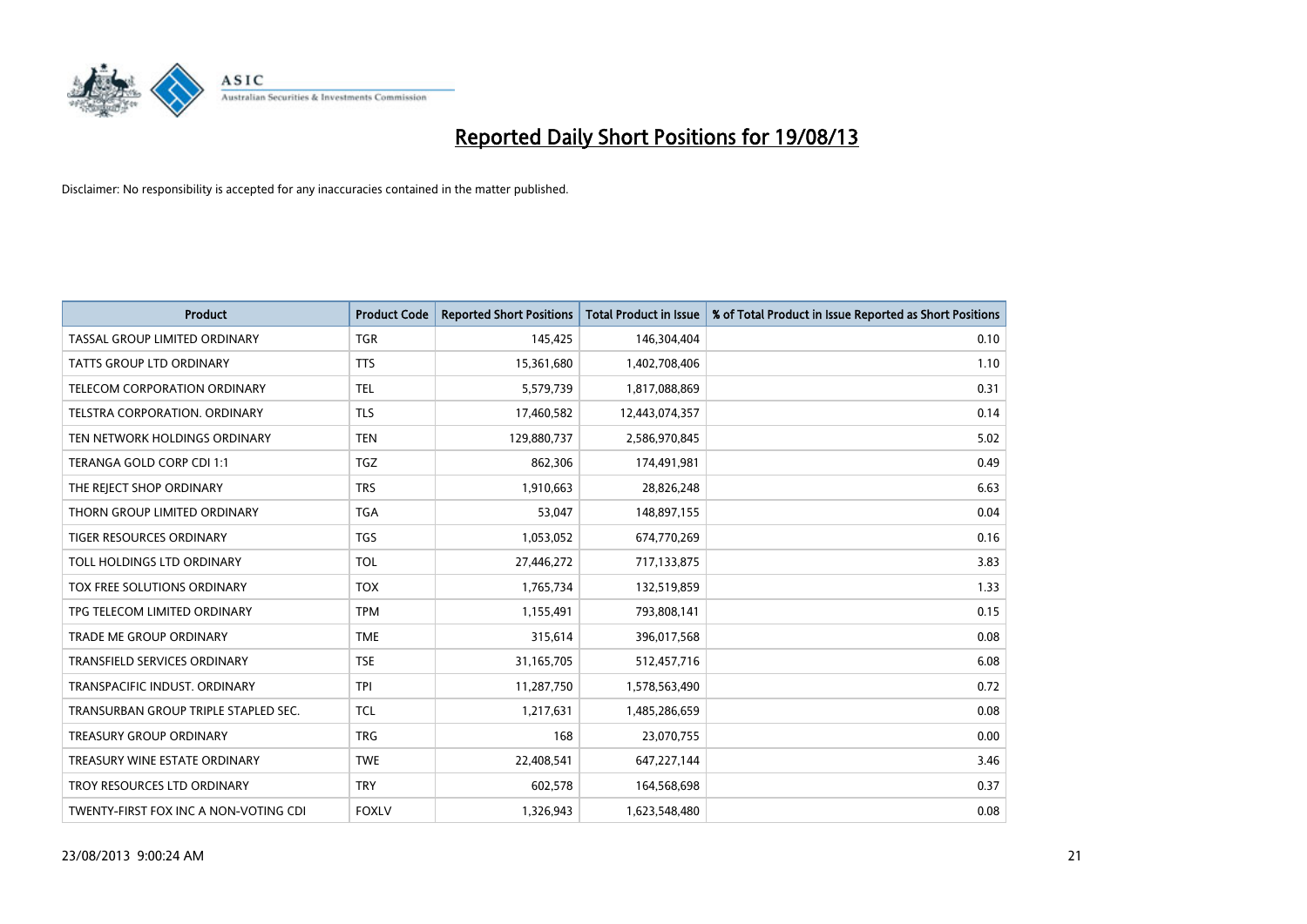

| <b>Product</b>                        | <b>Product Code</b> | <b>Reported Short Positions</b> | <b>Total Product in Issue</b> | % of Total Product in Issue Reported as Short Positions |
|---------------------------------------|---------------------|---------------------------------|-------------------------------|---------------------------------------------------------|
| TASSAL GROUP LIMITED ORDINARY         | TGR                 | 145,425                         | 146,304,404                   | 0.10                                                    |
| TATTS GROUP LTD ORDINARY              | <b>TTS</b>          | 15,361,680                      | 1,402,708,406                 | 1.10                                                    |
| <b>TELECOM CORPORATION ORDINARY</b>   | <b>TEL</b>          | 5,579,739                       | 1,817,088,869                 | 0.31                                                    |
| TELSTRA CORPORATION. ORDINARY         | <b>TLS</b>          | 17,460,582                      | 12,443,074,357                | 0.14                                                    |
| TEN NETWORK HOLDINGS ORDINARY         | <b>TEN</b>          | 129,880,737                     | 2,586,970,845                 | 5.02                                                    |
| TERANGA GOLD CORP CDI 1:1             | <b>TGZ</b>          | 862,306                         | 174,491,981                   | 0.49                                                    |
| THE REJECT SHOP ORDINARY              | <b>TRS</b>          | 1,910,663                       | 28,826,248                    | 6.63                                                    |
| THORN GROUP LIMITED ORDINARY          | <b>TGA</b>          | 53,047                          | 148,897,155                   | 0.04                                                    |
| TIGER RESOURCES ORDINARY              | TGS                 | 1,053,052                       | 674,770,269                   | 0.16                                                    |
| TOLL HOLDINGS LTD ORDINARY            | <b>TOL</b>          | 27,446,272                      | 717,133,875                   | 3.83                                                    |
| TOX FREE SOLUTIONS ORDINARY           | <b>TOX</b>          | 1,765,734                       | 132,519,859                   | 1.33                                                    |
| TPG TELECOM LIMITED ORDINARY          | <b>TPM</b>          | 1,155,491                       | 793,808,141                   | 0.15                                                    |
| <b>TRADE ME GROUP ORDINARY</b>        | <b>TME</b>          | 315,614                         | 396,017,568                   | 0.08                                                    |
| <b>TRANSFIELD SERVICES ORDINARY</b>   | <b>TSE</b>          | 31,165,705                      | 512,457,716                   | 6.08                                                    |
| TRANSPACIFIC INDUST, ORDINARY         | <b>TPI</b>          | 11,287,750                      | 1,578,563,490                 | 0.72                                                    |
| TRANSURBAN GROUP TRIPLE STAPLED SEC.  | <b>TCL</b>          | 1,217,631                       | 1,485,286,659                 | 0.08                                                    |
| <b>TREASURY GROUP ORDINARY</b>        | <b>TRG</b>          | 168                             | 23,070,755                    | 0.00                                                    |
| TREASURY WINE ESTATE ORDINARY         | <b>TWE</b>          | 22,408,541                      | 647,227,144                   | 3.46                                                    |
| TROY RESOURCES LTD ORDINARY           | <b>TRY</b>          | 602,578                         | 164,568,698                   | 0.37                                                    |
| TWENTY-FIRST FOX INC A NON-VOTING CDI | <b>FOXLV</b>        | 1,326,943                       | 1,623,548,480                 | 0.08                                                    |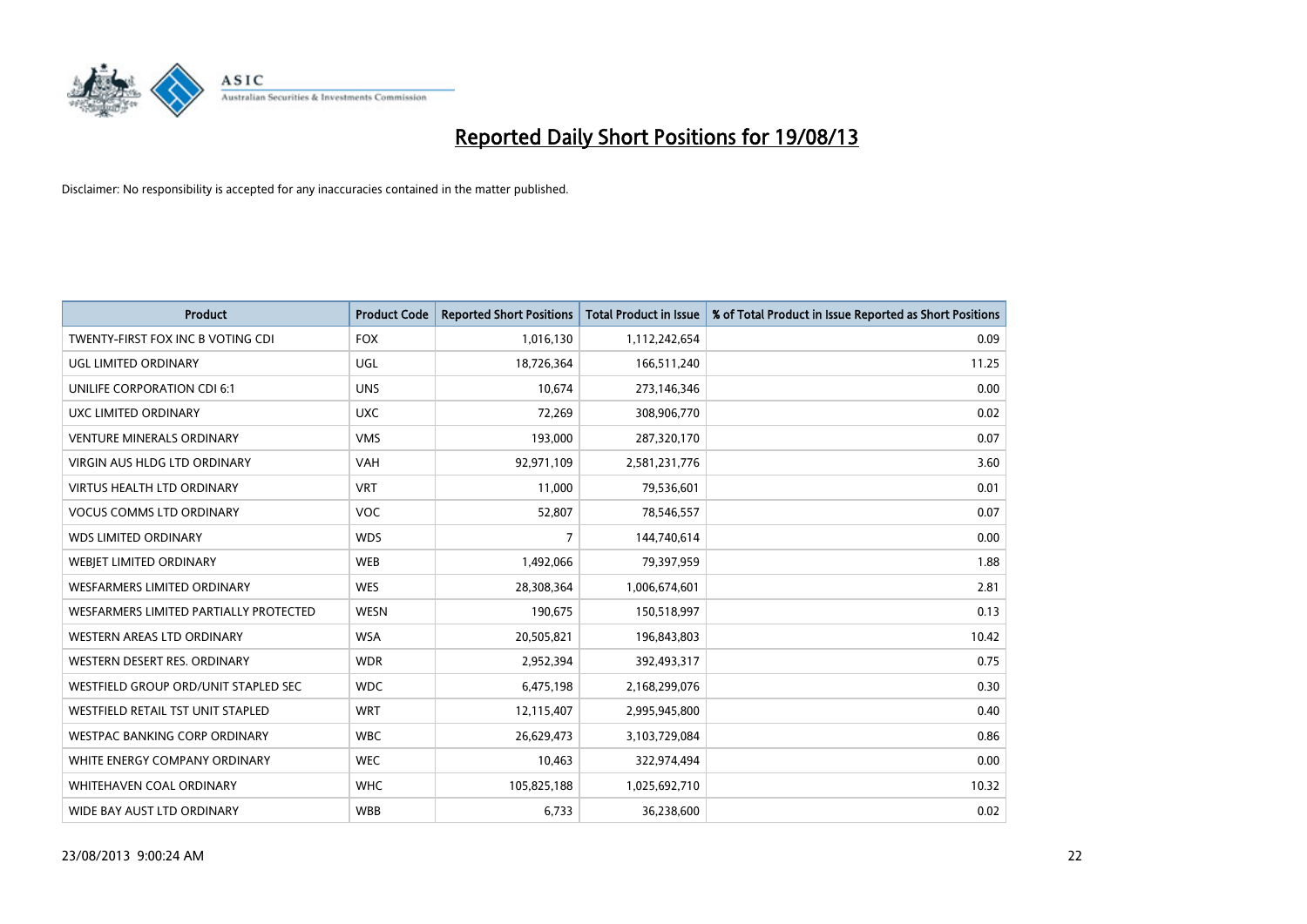

| <b>Product</b>                         | <b>Product Code</b> | <b>Reported Short Positions</b> | <b>Total Product in Issue</b> | % of Total Product in Issue Reported as Short Positions |
|----------------------------------------|---------------------|---------------------------------|-------------------------------|---------------------------------------------------------|
| TWENTY-FIRST FOX INC B VOTING CDI      | <b>FOX</b>          | 1,016,130                       | 1,112,242,654                 | 0.09                                                    |
| UGL LIMITED ORDINARY                   | <b>UGL</b>          | 18,726,364                      | 166,511,240                   | 11.25                                                   |
| UNILIFE CORPORATION CDI 6:1            | <b>UNS</b>          | 10,674                          | 273,146,346                   | 0.00                                                    |
| UXC LIMITED ORDINARY                   | <b>UXC</b>          | 72,269                          | 308,906,770                   | 0.02                                                    |
| <b>VENTURE MINERALS ORDINARY</b>       | <b>VMS</b>          | 193,000                         | 287,320,170                   | 0.07                                                    |
| <b>VIRGIN AUS HLDG LTD ORDINARY</b>    | <b>VAH</b>          | 92,971,109                      | 2,581,231,776                 | 3.60                                                    |
| <b>VIRTUS HEALTH LTD ORDINARY</b>      | <b>VRT</b>          | 11,000                          | 79,536,601                    | 0.01                                                    |
| <b>VOCUS COMMS LTD ORDINARY</b>        | <b>VOC</b>          | 52,807                          | 78,546,557                    | 0.07                                                    |
| <b>WDS LIMITED ORDINARY</b>            | <b>WDS</b>          | 7                               | 144,740,614                   | 0.00                                                    |
| WEBJET LIMITED ORDINARY                | <b>WEB</b>          | 1,492,066                       | 79,397,959                    | 1.88                                                    |
| WESFARMERS LIMITED ORDINARY            | <b>WES</b>          | 28,308,364                      | 1,006,674,601                 | 2.81                                                    |
| WESFARMERS LIMITED PARTIALLY PROTECTED | <b>WESN</b>         | 190,675                         | 150,518,997                   | 0.13                                                    |
| WESTERN AREAS LTD ORDINARY             | <b>WSA</b>          | 20,505,821                      | 196,843,803                   | 10.42                                                   |
| WESTERN DESERT RES. ORDINARY           | <b>WDR</b>          | 2,952,394                       | 392,493,317                   | 0.75                                                    |
| WESTFIELD GROUP ORD/UNIT STAPLED SEC   | <b>WDC</b>          | 6,475,198                       | 2,168,299,076                 | 0.30                                                    |
| WESTFIELD RETAIL TST UNIT STAPLED      | <b>WRT</b>          | 12,115,407                      | 2,995,945,800                 | 0.40                                                    |
| <b>WESTPAC BANKING CORP ORDINARY</b>   | <b>WBC</b>          | 26,629,473                      | 3,103,729,084                 | 0.86                                                    |
| WHITE ENERGY COMPANY ORDINARY          | <b>WEC</b>          | 10,463                          | 322,974,494                   | 0.00                                                    |
| WHITEHAVEN COAL ORDINARY               | <b>WHC</b>          | 105,825,188                     | 1,025,692,710                 | 10.32                                                   |
| WIDE BAY AUST LTD ORDINARY             | <b>WBB</b>          | 6,733                           | 36,238,600                    | 0.02                                                    |